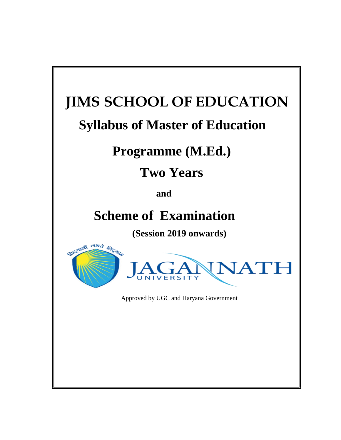# **JIMS SCHOOL OF EDUCATION**

# **Syllabus of Master of Education**

# **Programme (M.Ed.)**

# **Two Years**

**and** 

# **Scheme of Examination**

**(Session 2019 onwards)**





Approved by UGC and Haryana Government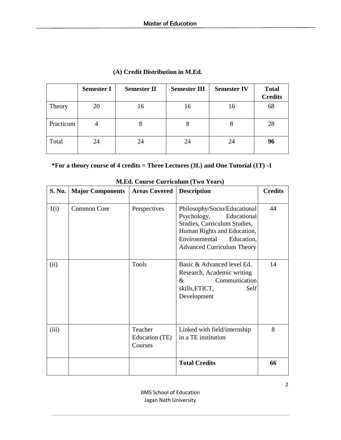|           | <b>Semester I</b> | <b>Semester II</b> | <b>Semester III</b> | <b>Semester IV</b> | <b>Total</b><br><b>Credits</b> |
|-----------|-------------------|--------------------|---------------------|--------------------|--------------------------------|
| Theory    | 20                | 16                 | 16                  | 16                 | 68                             |
| Practicum | $\overline{4}$    |                    | 8                   | 8                  | 28                             |
| Total     | 24                | 24                 | 24                  | 24                 | 96                             |

# **(A) Credit Distribution in M.Ed.**

# **\*For a theory course of 4 credits = Three Lectures (3L) and One Tutorial (1T) -1**

| <b>S. No.</b> | <b>Major Components</b> | <b>Areas Covered</b>                 | <b>Description</b>                                                                                                                                                                            | <b>Credits</b> |
|---------------|-------------------------|--------------------------------------|-----------------------------------------------------------------------------------------------------------------------------------------------------------------------------------------------|----------------|
| 1(i)          | <b>Common Core</b>      | Perspectives                         | Philosophy/Socio/Educational<br>Psychology,<br>Educational<br>Studies, Curriculum Studies,<br>Human Rights and Education,<br>Environmental<br>Education,<br><b>Advanced Curriculum Theory</b> | 44             |
| (ii)          |                         | <b>Tools</b>                         | Basic & Advanced level Ed.<br>Research, Academic writing<br>Communication<br>$\&$<br>skills, ETICT,<br>Self<br>Development                                                                    | 14             |
| (iii)         |                         | Teacher<br>Education (TE)<br>Courses | Linked with field/internship<br>in a TE institution                                                                                                                                           | 8              |
|               |                         |                                      | <b>Total Credits</b>                                                                                                                                                                          | 66             |

# **M.Ed. Course Curriculum (Two Years)**

JIMS School of Education Jagan Nath University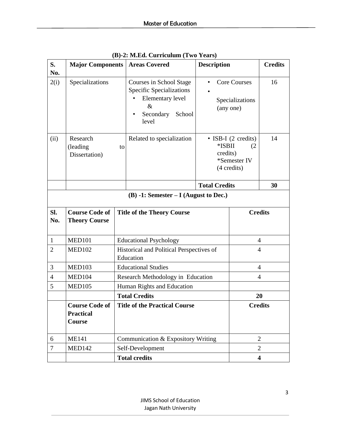| S.<br>No.      | <b>Major Components</b>                                    |    | <b>Areas Covered</b>                                                                                                   | <b>Description</b>   |                                                           | <b>Credits</b>          |
|----------------|------------------------------------------------------------|----|------------------------------------------------------------------------------------------------------------------------|----------------------|-----------------------------------------------------------|-------------------------|
| 2(i)           | Specializations                                            |    | Courses in School Stage<br><b>Specific Specializations</b><br>Elementary level<br>$\&$<br>Secondary<br>School<br>level | $\bullet$            | <b>Core Courses</b><br>Specializations<br>(any one)       | 16                      |
| (ii)           | Research<br>(leading<br>Dissertation)                      | to | Related to specialization                                                                                              | *ISBII<br>credits)   | • ISB-I (2 credits)<br>(2)<br>*Semester IV<br>(4 credits) | 14                      |
|                |                                                            |    |                                                                                                                        | <b>Total Credits</b> |                                                           | 30                      |
|                |                                                            |    | $(B) -1$ : Semester – I (August to Dec.)                                                                               |                      |                                                           |                         |
| SI.<br>No.     | <b>Course Code of</b><br><b>Theory Course</b>              |    | <b>Title of the Theory Course</b>                                                                                      |                      | <b>Credits</b>                                            |                         |
| $\mathbf{1}$   | <b>MED101</b>                                              |    | <b>Educational Psychology</b>                                                                                          |                      | 4                                                         |                         |
| $\overline{2}$ | <b>MED102</b>                                              |    | Historical and Political Perspectives of<br>Education                                                                  |                      | $\overline{4}$                                            |                         |
| 3              | <b>MED103</b>                                              |    | <b>Educational Studies</b>                                                                                             |                      | $\overline{4}$                                            |                         |
| 4              | <b>MED104</b>                                              |    | Research Methodology in Education                                                                                      |                      | $\overline{4}$                                            |                         |
| 5              | <b>MED105</b>                                              |    | Human Rights and Education                                                                                             |                      |                                                           |                         |
|                |                                                            |    | <b>Total Credits</b>                                                                                                   |                      | 20                                                        |                         |
|                | <b>Course Code of</b><br><b>Practical</b><br><b>Course</b> |    | <b>Title of the Practical Course</b>                                                                                   |                      | <b>Credits</b>                                            |                         |
| 6              | <b>ME141</b>                                               |    | Communication & Expository Writing                                                                                     |                      |                                                           | $\overline{2}$          |
| $\overline{7}$ | <b>MED142</b>                                              |    | Self-Development                                                                                                       |                      |                                                           | $\overline{2}$          |
|                |                                                            |    | <b>Total credits</b>                                                                                                   |                      |                                                           | $\overline{\mathbf{4}}$ |

**(B)-2: M.Ed. Curriculum (Two Years)**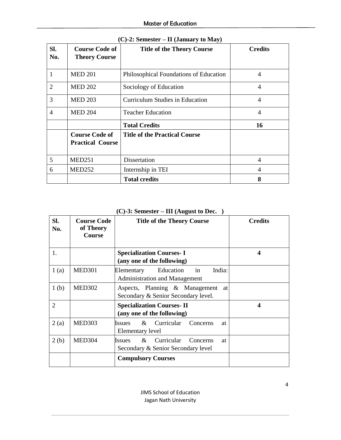| SI.<br>No.     | <b>Course Code of</b><br><b>Theory Course</b>    | <b>Title of the Theory Course</b>      | <b>Credits</b> |
|----------------|--------------------------------------------------|----------------------------------------|----------------|
|                | <b>MED 201</b>                                   | Philosophical Foundations of Education | 4              |
| $\overline{2}$ | <b>MED 202</b>                                   | Sociology of Education                 | $\overline{4}$ |
| 3              | <b>MED 203</b>                                   | <b>Curriculum Studies in Education</b> | 4              |
| 4              | <b>MED 204</b>                                   | <b>Teacher Education</b>               | 4              |
|                |                                                  | <b>Total Credits</b>                   | 16             |
|                | <b>Course Code of</b><br><b>Practical Course</b> | <b>Title of the Practical Course</b>   |                |
| 5              | <b>MED251</b>                                    | Dissertation                           | 4              |
| 6              | <b>MED252</b>                                    | Internship in TEI                      | 4              |
|                |                                                  | <b>Total credits</b>                   | 8              |

**(C)-2: Semester – II (January to May)**

|  |  | $(C)-3$ : Semester – III (August to Dec.) |  |
|--|--|-------------------------------------------|--|
|--|--|-------------------------------------------|--|

| SI.<br>No.       | <b>Course Code</b><br>of Theory<br><b>Course</b> | <b>Title of the Theory Course</b>                                                       | <b>Credits</b>   |
|------------------|--------------------------------------------------|-----------------------------------------------------------------------------------------|------------------|
| 1.               |                                                  | <b>Specialization Courses-I</b><br>(any one of the following)                           | $\boldsymbol{4}$ |
| 1(a)             | <b>MED301</b>                                    | in<br>Education<br>India:<br>Elementary<br><b>Administration and Management</b>         |                  |
| 1 <sub>(b)</sub> | <b>MED302</b>                                    | Aspects, Planning & Management<br>at<br>Secondary & Senior Secondary level.             |                  |
| 2                |                                                  | <b>Specialization Courses-II</b><br>(any one of the following)                          | 4                |
| 2(a)             | <b>MED303</b>                                    | Curricular<br>$\&$<br>Concerns<br><i><u><b>Issues</b></u></i><br>at<br>Elementary level |                  |
| 2(b)             | <b>MED304</b>                                    | $&$ Curricular<br>Concerns<br><b>Issues</b><br>at<br>Secondary & Senior Secondary level |                  |
|                  |                                                  | <b>Compulsory Courses</b>                                                               |                  |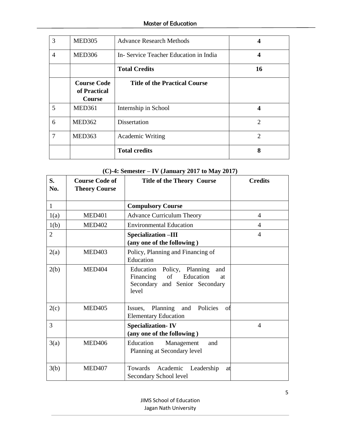| 3 | <b>MED305</b>                                       | <b>Advance Research Methods</b>       |                |
|---|-----------------------------------------------------|---------------------------------------|----------------|
| 4 | <b>MED306</b>                                       | In-Service Teacher Education in India | 4              |
|   |                                                     | <b>Total Credits</b>                  | 16             |
|   | <b>Course Code</b><br>of Practical<br><b>Course</b> | <b>Title of the Practical Course</b>  |                |
| 5 | <b>MED361</b>                                       | Internship in School                  | 4              |
| 6 | <b>MED362</b>                                       | <b>Dissertation</b>                   | $\overline{2}$ |
| 7 | MED363                                              | <b>Academic Writing</b>               | $\overline{2}$ |
|   |                                                     | <b>Total credits</b>                  | 8              |

| S.<br>No.      | <b>Course Code of</b><br><b>Theory Course</b> | <b>Title of the Theory Course</b>                                                                                  | <b>Credits</b> |
|----------------|-----------------------------------------------|--------------------------------------------------------------------------------------------------------------------|----------------|
| $\mathbf{1}$   |                                               | <b>Compulsory Course</b>                                                                                           |                |
| 1(a)           | <b>MED401</b>                                 | <b>Advance Curriculum Theory</b>                                                                                   | $\overline{4}$ |
| 1(b)           | <b>MED402</b>                                 | <b>Environmental Education</b>                                                                                     | $\overline{4}$ |
| $\overline{2}$ |                                               | <b>Specialization -III</b><br>(any one of the following)                                                           | $\overline{4}$ |
| 2(a)           | <b>MED403</b>                                 | Policy, Planning and Financing of<br>Education                                                                     |                |
| 2(b)           | <b>MED404</b>                                 | Education Policy, Planning<br>and<br>Financing<br>of<br>Education<br>at<br>Secondary and Senior Secondary<br>level |                |
| 2(c)           | <b>MED405</b>                                 | Issues, Planning and Policies<br>of<br><b>Elementary Education</b>                                                 |                |
| 3              |                                               | <b>Specialization-IV</b><br>(any one of the following)                                                             | $\overline{4}$ |
| 3(a)           | <b>MED406</b>                                 | Education<br>Management<br>and<br>Planning at Secondary level                                                      |                |
| 3(b)           | <b>MED407</b>                                 | Towards Academic Leadership<br>at<br>Secondary School level                                                        |                |

# **(C)-4: Semester – IV (January 2017 to May 2017)**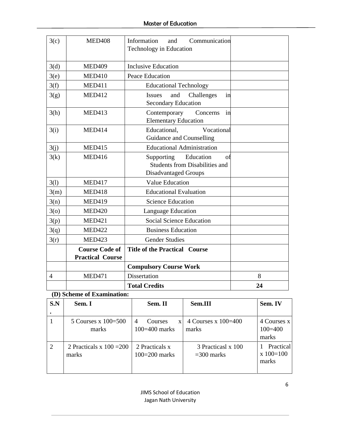| 3(c)           | <b>MED408</b>                                    | Information<br>Communication<br>and<br>Technology in Education                                        |    |
|----------------|--------------------------------------------------|-------------------------------------------------------------------------------------------------------|----|
| 3(d)           | <b>MED409</b>                                    | <b>Inclusive Education</b>                                                                            |    |
| 3(e)           | <b>MED410</b>                                    | <b>Peace Education</b>                                                                                |    |
| 3(f)           | <b>MED411</b>                                    | <b>Educational Technology</b>                                                                         |    |
| 3(g)           | <b>MED412</b>                                    | Challenges<br>and<br>Issues<br>in<br><b>Secondary Education</b>                                       |    |
| 3(h)           | <b>MED413</b>                                    | Contemporary<br>Concerns<br>in<br><b>Elementary Education</b>                                         |    |
| 3(i)           | <b>MED414</b>                                    | Educational,<br>Vocational<br>Guidance and Counselling                                                |    |
| 3(j)           | <b>MED415</b>                                    | <b>Educational Administration</b>                                                                     |    |
| 3(k)           | <b>MED416</b>                                    | Supporting<br>Education<br>οf<br><b>Students from Disabilities and</b><br><b>Disadvantaged Groups</b> |    |
| 3(1)           | <b>MED417</b>                                    | <b>Value Education</b>                                                                                |    |
| 3(m)           | <b>MED418</b>                                    | <b>Educational Evaluation</b>                                                                         |    |
| 3(n)           | <b>MED419</b>                                    | <b>Science Education</b>                                                                              |    |
| 3 <sub>0</sub> | <b>MED420</b>                                    | Language Education                                                                                    |    |
| 3(p)           | <b>MED421</b>                                    | <b>Social Science Education</b>                                                                       |    |
| 3(q)           | <b>MED422</b>                                    | <b>Business Education</b>                                                                             |    |
| 3(r)           | <b>MED423</b>                                    | <b>Gender Studies</b>                                                                                 |    |
|                | <b>Course Code of</b><br><b>Practical Course</b> | <b>Title of the Practical Course</b>                                                                  |    |
|                |                                                  | <b>Compulsory Course Work</b>                                                                         |    |
| $\overline{4}$ | <b>MED471</b>                                    | <b>Dissertation</b>                                                                                   | 8  |
|                |                                                  | <b>Total Credits</b>                                                                                  | 24 |

**(D) Scheme of Examination:** 

| S.N            | Sem. I                              | Sem. II                                         | Sem.III                            | Sem. IV                             |
|----------------|-------------------------------------|-------------------------------------------------|------------------------------------|-------------------------------------|
|                |                                     |                                                 |                                    |                                     |
|                | 5 Courses $x 100=500$<br>marks      | $\overline{4}$<br>Courses<br>X<br>100=400 marks | 4 Courses x $100=400$<br>marks     | 4 Courses x<br>$100 = 400$<br>marks |
| $\overline{2}$ | 2 Practicals x $100 = 200$<br>marks | 2 Practicals x<br>$100=200$ marks               | 3 Practicasl x 100<br>$=300$ marks | Practical<br>$x 100=100$<br>marks   |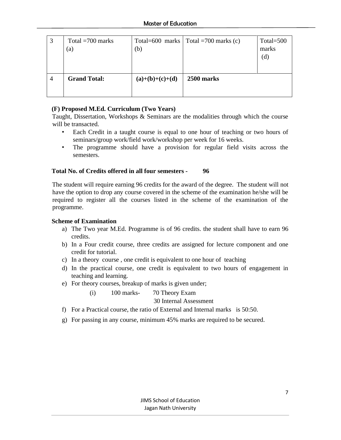| 3              | Total $=700$ marks<br>$\left( a\right)$ | Total=600 marks<br>(b) | Total = $700$ marks (c) | Total= $500$<br>marks |
|----------------|-----------------------------------------|------------------------|-------------------------|-----------------------|
|                |                                         |                        |                         | (d)                   |
| $\overline{4}$ | <b>Grand Total:</b>                     | $(a)+(b)+(c)+(d)$      | 2500 marks              |                       |
|                |                                         |                        |                         |                       |
|                |                                         |                        |                         |                       |

# **(F) Proposed M.Ed. Curriculum (Two Years)**

Taught, Dissertation, Workshops & Seminars are the modalities through which the course will be transacted.

- Each Credit in a taught course is equal to one hour of teaching or two hours of seminars/group work/field work/workshop per week for 16 weeks.
- The programme should have a provision for regular field visits across the semesters.

# **Total No. of Credits offered in all four semesters - 96**

The student will require earning 96 credits for the award of the degree. The student will not have the option to drop any course covered in the scheme of the examination he/she will be required to register all the courses listed in the scheme of the examination of the programme.

#### **Scheme of Examination**

- a) The Two year M.Ed. Programme is of 96 credits. the student shall have to earn 96 credits.
- b) In a Four credit course, three credits are assigned for lecture component and one credit for tutorial.
- c) In a theory course , one credit is equivalent to one hour of teaching
- d) In the practical course, one credit is equivalent to two hours of engagement in teaching and learning.
- e) For theory courses, breakup of marks is given under;

(i) 100 marks- 70 Theory Exam

30 Internal Assessment

- f) For a Practical course, the ratio of External and Internal marks is 50:50.
- g) For passing in any course, minimum 45% marks are required to be secured.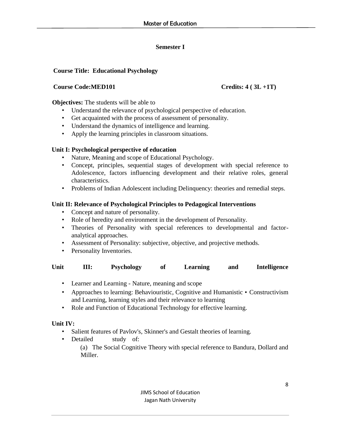# **Semester I**

# **Course Title: Educational Psychology**

#### **Course Code:MED101 Credits: 4 ( 3L +1T)**

**Objectives:** The students will be able to

- Understand the relevance of psychological perspective of education.
- Get acquainted with the process of assessment of personality.
- Understand the dynamics of intelligence and learning.
- Apply the learning principles in classroom situations.

# **Unit I: Psychological perspective of education**

- Nature, Meaning and scope of Educational Psychology.
- Concept, principles, sequential stages of development with special reference to Adolescence, factors influencing development and their relative roles, general characteristics.
- Problems of Indian Adolescent including Delinquency: theories and remedial steps.

# **Unit II: Relevance of Psychological Principles to Pedagogical Interventions**

- Concept and nature of personality.
- Role of heredity and environment in the development of Personality.
- Theories of Personality with special references to developmental and factoranalytical approaches.
- Assessment of Personality: subjective, objective, and projective methods.
- Personality Inventories.

| Unit | Ш: | <b>Psychology</b> |  | Learning | and | <b>Intelligence</b> |
|------|----|-------------------|--|----------|-----|---------------------|
|------|----|-------------------|--|----------|-----|---------------------|

- Learner and Learning Nature, meaning and scope
- Approaches to learning: Behaviouristic, Cognitive and Humanistic Constructivism and Learning, learning styles and their relevance to learning
- Role and Function of Educational Technology for effective learning.

# **Unit IV:**

- Salient features of Pavlov's, Skinner's and Gestalt theories of learning.
- Detailed study of: (a) The Social Cognitive Theory with special reference to Bandura, Dollard and Miller.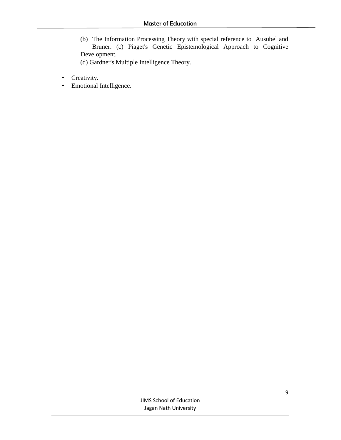(b) The Information Processing Theory with special reference to Ausubel and Bruner. (c) Piaget's Genetic Epistemological Approach to Cognitive Development. (d) Gardner's Multiple Intelligence Theory.

- Creativity.
- Emotional Intelligence.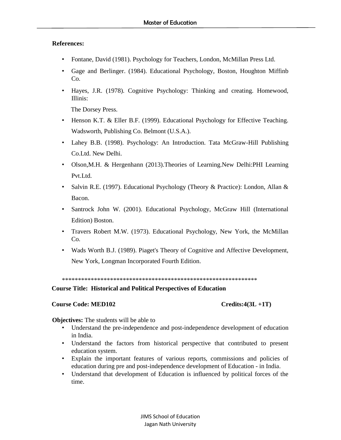# **References:**

- Fontane, David (1981). Psychology for Teachers, London, McMillan Press Ltd.
- Gage and Berlinger. (1984). Educational Psychology, Boston, Houghton Miffinb Co.
- Hayes, J.R. (1978). Cognitive Psychology: Thinking and creating. Homewood, Illinis:

The Dorsey Press.

- Henson K.T. & Eller B.F. (1999). Educational Psychology for Effective Teaching. Wadsworth, Publishing Co. Belmont (U.S.A.).
- Lahey B.B. (1998). Psychology: An Introduction. Tata McGraw-Hill Publishing Co.Ltd. New Delhi.
- Olson,M.H. & Hergenhann (2013).Theories of Learning.New Delhi:PHI Learning Pvt.Ltd.
- Salvin R.E. (1997). Educational Psychology (Theory & Practice): London, Allan & Bacon.
- Santrock John W. (2001). Educational Psychology, McGraw Hill (International Edition) Boston.
- Travers Robert M.W. (1973). Educational Psychology, New York, the McMillan Co.
- Wads Worth B.J. (1989). Piaget's Theory of Cognitive and Affective Development, New York, Longman Incorporated Fourth Edition.

\*\*\*\*\*\*\*\*\*\*\*\*\*\*\*\*\*\*\*\*\*\*\*\*\*\*\*\*\*\*\*\*\*\*\*\*\*\*\*\*\*\*\*\*\*\*\*\*\*\*\*\*\*\*\*\*\*\*\*\*\*

**Course Title: Historical and Political Perspectives of Education** 

# **Course Code: MED102 Credits:4(3L +1T)**

**Objectives:** The students will be able to

- Understand the pre-independence and post-independence development of education in India.
- Understand the factors from historical perspective that contributed to present education system.
- Explain the important features of various reports, commissions and policies of education during pre and post-independence development of Education - in India.
- Understand that development of Education is influenced by political forces of the time.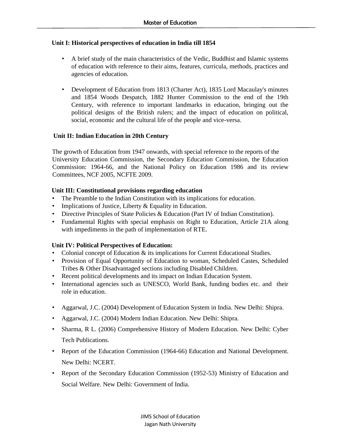# **Unit I: Historical perspectives of education in India till 1854**

- A brief study of the main characteristics of the Vedic, Buddhist and Islamic systems of education with reference to their aims, features, curricula, methods, practices and agencies of education.
- Development of Education from 1813 (Charter Act), 1835 Lord Macaulay's minutes and 1854 Woods Despatch, 1882 Hunter Commission to the end of the 19th Century, with reference to important landmarks in education, bringing out the political designs of the British rulers; and the impact of education on political, social, economic and the cultural life of the people and vice-versa.

# **Unit II: Indian Education in 20th Century**

The growth of Education from 1947 onwards, with special reference to the reports of the University Education Commission, the Secondary Education Commission, the Education Commission: 1964-66, and the National Policy on Education 1986 and its review Committees, NCF 2005, NCFTE 2009.

# **Unit III: Constitutional provisions regarding education**

- The Preamble to the Indian Constitution with its implications for education.
- Implications of Justice, Liberty & Equality in Education.
- Directive Principles of State Policies & Education (Part IV of Indian Constitution).
- Fundamental Rights with special emphasis on Right to Education, Article 21A along with impediments in the path of implementation of RTE.

# **Unit IV: Political Perspectives of Education:**

- Colonial concept of Education & its implications for Current Educational Studies.
- Provision of Equal Opportunity of Education to woman, Scheduled Castes, Scheduled Tribes & Other Disadvantaged sections including Disabled Children.
- Recent political developments and its impact on Indian Education System.
- International agencies such as UNESCO, World Bank, funding bodies etc. and their role in education.
- Aggarwal, J.C. (2004) Development of Education System in India. New Delhi: Shipra.
- Aggarwal, J.C. (2004) Modern Indian Education. New Delhi: Shipra.
- Sharma, R L. (2006) Comprehensive History of Modern Education. New Delhi: Cyber Tech Publications.
- Report of the Education Commission (1964-66) Education and National Development. New Delhi: NCERT.
- Report of the Secondary Education Commission (1952-53) Ministry of Education and Social Welfare. New Delhi: Government of India.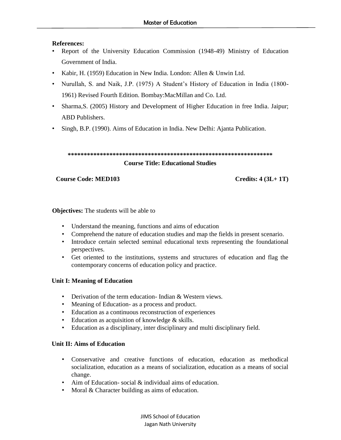# **References:**

- Report of the University Education Commission (1948-49) Ministry of Education Government of India.
- Kabir, H. (1959) Education in New India. London: Allen & Unwin Ltd.
- Nurullah, S. and Naik, J.P. (1975) A Student's History of Education in India (1800- 1961) Revised Fourth Edition. Bombay:MacMillan and Co. Ltd.
- Sharma,S. (2005) History and Development of Higher Education in free India. Jaipur; ABD Publishers.
- Singh, B.P. (1990). Aims of Education in India. New Delhi: Ajanta Publication.

```
****************************************************************
```
# **Course Title: Educational Studies**

# **Course Code: MED103 Credits: 4 (3L+ 1T)**

# **Objectives:** The students will be able to

- Understand the meaning, functions and aims of education
- Comprehend the nature of education studies and map the fields in present scenario.
- Introduce certain selected seminal educational texts representing the foundational perspectives.
- Get oriented to the institutions, systems and structures of education and flag the contemporary concerns of education policy and practice.

# **Unit I: Meaning of Education**

- Derivation of the term education- Indian & Western views.
- Meaning of Education- as a process and product.
- Education as a continuous reconstruction of experiences
- Education as acquisition of knowledge & skills.
- Education as a disciplinary, inter disciplinary and multi disciplinary field.

# **Unit II: Aims of Education**

- Conservative and creative functions of education, education as methodical socialization, education as a means of socialization, education as a means of social change.
- Aim of Education- social & individual aims of education.
- Moral & Character building as aims of education.

JIMS School of Education Jagan Nath University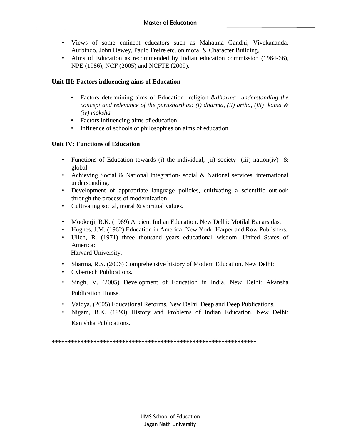- Views of some eminent educators such as Mahatma Gandhi, Vivekananda, Aurbindo, John Dewey, Paulo Freire etc. on moral & Character Building.
- Aims of Education as recommended by Indian education commission (1964-66), NPE (1986), NCF (2005) and NCFTE (2009).

# **Unit III: Factors influencing aims of Education**

- Factors determining aims of Education- religion &*dharma understanding the concept and relevance of the purusharthas: (i) dharma, (ii) artha, (iii) kama & (iv) moksha*
- Factors influencing aims of education.
- Influence of schools of philosophies on aims of education.

# **Unit IV: Functions of Education**

- Functions of Education towards (i) the individual, (ii) society (iii) nation(iv) & global.
- Achieving Social & National Integration- social & National services, international understanding.
- Development of appropriate language policies, cultivating a scientific outlook through the process of modernization.
- Cultivating social, moral & spiritual values.
- Mookerji, R.K. (1969) Ancient Indian Education. New Delhi: Motilal Banarsidas.
- Hughes, J.M. (1962) Education in America. New York: Harper and Row Publishers.
- Ulich, R. (1971) three thousand years educational wisdom. United States of America:

Harvard University.

- Sharma, R.S. (2006) Comprehensive history of Modern Education. New Delhi:
- Cybertech Publications.
- Singh, V. (2005) Development of Education in India. New Delhi: Akansha Publication House.
- Vaidya, (2005) Educational Reforms. New Delhi: Deep and Deep Publications.
- Nigam, B.K. (1993) History and Problems of Indian Education. New Delhi: Kanishka Publications.

**\*\*\*\*\*\*\*\*\*\*\*\*\*\*\*\*\*\*\*\*\*\*\*\*\*\*\*\*\*\*\*\*\*\*\*\*\*\*\*\*\*\*\*\*\*\*\*\*\*\*\*\*\*\*\*\*\*\*\*\*\*\*\*\***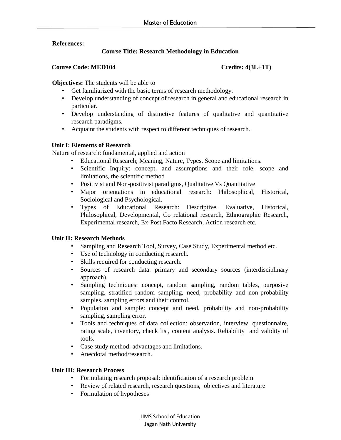# **References:**

# **Course Title: Research Methodology in Education**

#### **Course Code: MED104 Credits: 4(3L+1T)**

**Objectives:** The students will be able to

- Get familiarized with the basic terms of research methodology.
- Develop understanding of concept of research in general and educational research in particular.
- Develop understanding of distinctive features of qualitative and quantitative research paradigms.
- Acquaint the students with respect to different techniques of research.

# **Unit I: Elements of Research**

Nature of research: fundamental, applied and action

- Educational Research; Meaning, Nature, Types, Scope and limitations.
- Scientific Inquiry: concept, and assumptions and their role, scope and limitations, the scientific method
- Positivist and Non-positivist paradigms, Qualitative Vs Quantitative
- Major orientations in educational research: Philosophical, Historical, Sociological and Psychological.
- Types of Educational Research: Descriptive, Evaluative, Historical, Philosophical, Developmental, Co relational research, Ethnographic Research, Experimental research, Ex-Post Facto Research, Action research etc.

# **Unit II: Research Methods**

- Sampling and Research Tool, Survey, Case Study, Experimental method etc.
- Use of technology in conducting research.
- Skills required for conducting research.
- Sources of research data: primary and secondary sources (interdisciplinary approach).
- Sampling techniques: concept, random sampling, random tables, purposive sampling, stratified random sampling, need, probability and non-probability samples, sampling errors and their control.
- Population and sample: concept and need, probability and non-probability sampling, sampling error.
- Tools and techniques of data collection: observation, interview, questionnaire, rating scale, inventory, check list, content analysis. Reliability and validity of tools.
- Case study method: advantages and limitations.
- Anecdotal method/research.

# **Unit III: Research Process**

- Formulating research proposal: identification of a research problem
- Review of related research, research questions, objectives and literature
- Formulation of hypotheses

JIMS School of Education Jagan Nath University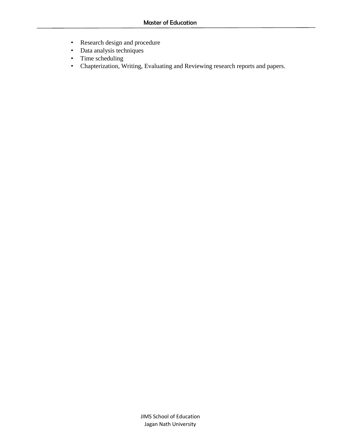- Research design and procedure
- Data analysis techniques
- Time scheduling
- Chapterization, Writing, Evaluating and Reviewing research reports and papers.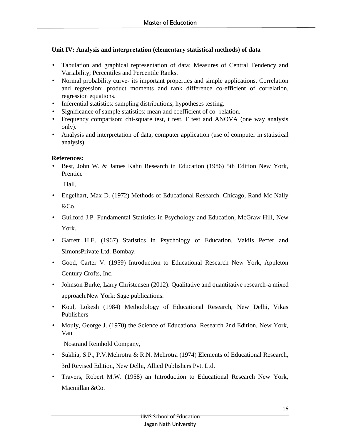# **Unit IV: Analysis and interpretation (elementary statistical methods) of data**

- Tabulation and graphical representation of data; Measures of Central Tendency and Variability; Percentiles and Percentile Ranks.
- Normal probability curve- its important properties and simple applications. Correlation and regression: product moments and rank difference co-efficient of correlation, regression equations.
- Inferential statistics: sampling distributions, hypotheses testing.
- Significance of sample statistics: mean and coefficient of co- relation.
- Frequency comparison: chi-square test, t test, F test and ANOVA (one way analysis only).
- Analysis and interpretation of data, computer application (use of computer in statistical analysis).

# **References:**

• Best, John W. & James Kahn Research in Education (1986) 5th Edition New York, **Prentice** 

Hall,

- Engelhart, Max D. (1972) Methods of Educational Research. Chicago, Rand Mc Nally &Co.
- Guilford J.P. Fundamental Statistics in Psychology and Education, McGraw Hill, New York.
- Garrett H.E. (1967) Statistics in Psychology of Education. Vakils Peffer and SimonsPrivate Ltd. Bombay.
- Good, Carter V. (1959) Introduction to Educational Research New York, Appleton Century Crofts, Inc.
- Johnson Burke, Larry Christensen (2012): Qualitative and quantitative research-a mixed approach.New York: Sage publications.
- Koul, Lokesh (1984) Methodology of Educational Research, New Delhi, Vikas Publishers
- Mouly, George J. (1970) the Science of Educational Research 2nd Edition, New York, Van

Nostrand Reinhold Company,

- Sukhia, S.P., P.V.Mehrotra & R.N. Mehrotra (1974) Elements of Educational Research, 3rd Revised Edition, New Delhi, Allied Publishers Pvt. Ltd.
- Travers, Robert M.W. (1958) an Introduction to Educational Research New York, Macmillan &Co.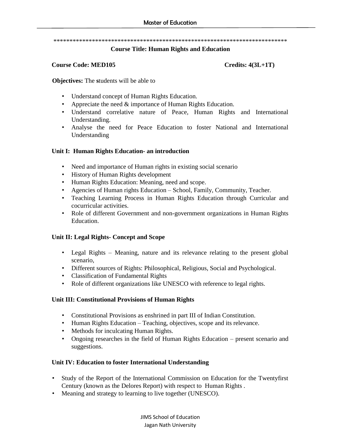#### \*\*\*\*\*\*\*\*\*\*\*\*\*\*\*\*\*\*\*\*\*\*\*\*\*\*\*\*\*\*\*\*\*\*\*\*\*\*\*\*\*\*\*\*\*\*\*\*\*\*\*\*\*\*\*\*\*\*\*\*\*\*\*\*\*\*\*\*\*\*\*\*\*

#### **Course Title: Human Rights and Education**

#### **Course Code: MED105** Credits: 4(3L+1T)

**Objectives:** The **s**tudents will be able to

- Understand concept of Human Rights Education.
- Appreciate the need  $&$  importance of Human Rights Education.
- Understand correlative nature of Peace, Human Rights and International Understanding.
- Analyse the need for Peace Education to foster National and International Understanding

#### **Unit I: Human Rights Education- an introduction**

- Need and importance of Human rights in existing social scenario
- History of Human Rights development
- Human Rights Education: Meaning, need and scope.
- Agencies of Human rights Education School, Family, Community, Teacher.
- Teaching Learning Process in Human Rights Education through Curricular and cocurricular activities.
- Role of different Government and non-government organizations in Human Rights Education.

#### **Unit II: Legal Rights- Concept and Scope**

- Legal Rights Meaning, nature and its relevance relating to the present global scenario,
- Different sources of Rights: Philosophical, Religious, Social and Psychological.
- Classification of Fundamental Rights
- Role of different organizations like UNESCO with reference to legal rights.

#### **Unit III: Constitutional Provisions of Human Rights**

- Constitutional Provisions as enshrined in part III of Indian Constitution.
- Human Rights Education Teaching, objectives, scope and its relevance.
- Methods for inculcating Human Rights.
- Ongoing researches in the field of Human Rights Education present scenario and suggestions.

# **Unit IV: Education to foster International Understanding**

- Study of the Report of the International Commission on Education for the Twentyfirst Century (known as the Delores Report) with respect to Human Rights .
- Meaning and strategy to learning to live together (UNESCO).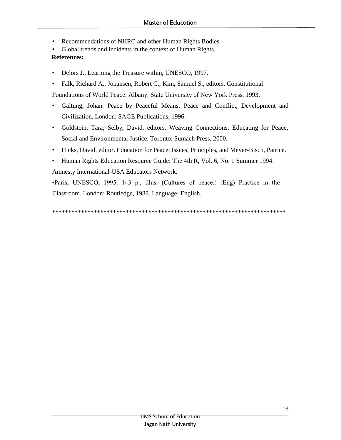- Recommendations of NHRC and other Human Rights Bodies.
- Global trends and incidents in the context of Human Rights.

# **References:**

- Delors J., Learning the Treasure within, UNESCO, 1997.
- Falk, Richard A.; Johansen, Robert C.; Kim, Samuel S., editors. Constitutional

Foundations of World Peace. Albany: State University of New York Press, 1993.

- Galtung, Johan. Peace by Peaceful Means: Peace and Conflict, Development and Civilization. London: SAGE Publications, 1996.
- Goldstein, Tara; Selby, David, editors. Weaving Connections: Educating for Peace, Social and Environmental Justice. Toronto: Sumach Press, 2000.
- Hicks, David, editor. Education for Peace: Issues, Principles, and Meyer-Bisch, Patrice.
- Human Rights Education Resource Guide: The 4th R, Vol. 6, No. 1 Summer 1994.

Amnesty International-USA Educators Network.

•Paris, UNESCO, 1995. 143 p., illus. (Cultures of peace.) (Eng) Practice in the Classroom. London: Routledge, 1988. Language: English.

\*\*\*\*\*\*\*\*\*\*\*\*\*\*\*\*\*\*\*\*\*\*\*\*\*\*\*\*\*\*\*\*\*\*\*\*\*\*\*\*\*\*\*\*\*\*\*\*\*\*\*\*\*\*\*\*\*\*\*\*\*\*\*\*\*\*\*\*\*\*\*\*\*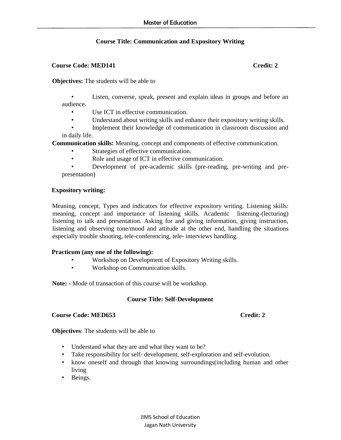# **Course Title: Communication and Expository Writing**

#### **Course Code: MED141** Credit: 2

**Objectives:** The students will be able to

Listen, converse, speak, present and explain ideas in groups and before an audience.

- Use ICT in effective communication.
- Understand about writing skills and enhance their expository writing skills.

• Implement their knowledge of communication in classroom discussion and in daily life.

**Communication skills:** Meaning, concept and components of effective communication.

- Strategies of effective communication.
- Role and usage of ICT in effective communication.

• Development of pre-academic skills (pre-reading, pre-writing and prepresentation)

# **Expository writing:**

Meaning, concept, Types and indicators for effective expository writing. Listening skills: meaning, concept and importance of listening skills. Academic listening-(lecturing) listening to talk and presentation. Asking for and giving information, giving instruction, listening and observing tone/mood and attitude at the other end, handling the situations especially trouble shooting, tele-conferencing, tele- interviews handling.

# **Practicum (any one of the following):**

- Workshop on Development of Expository Writing skills.
- Workshop on Communication skills.

**Note: -** Mode of transaction of this course will be workshop.

# **Course Title: Self-Development**

#### **Course Code: MED653** Credit: 2

**Objectives**: The students will be able to

- Understand what they are and what they want to be?
- Take responsibility for self- development, self-exploration and self-evolution.
- know oneself and through that knowing surroundings(including human and other living
- Beings.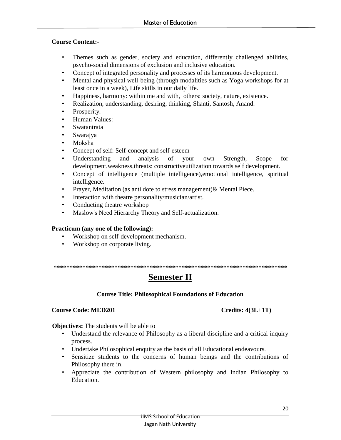# **Course Content:-**

- Themes such as gender, society and education, differently challenged abilities, psycho-social dimensions of exclusion and inclusive education.
- Concept of integrated personality and processes of its harmonious development.
- Mental and physical well-being (through modalities such as Yoga workshops for at least once in a week), Life skills in our daily life.
- Happiness, harmony: within me and with, others: society, nature, existence.
- Realization, understanding, desiring, thinking, Shanti, Santosh, Anand.
- Prosperity.
- Human Values:
- Swatantrata
- Swarajya
- Moksha
- Concept of self: Self-concept and self-esteem
- Understanding and analysis of your own Strength, Scope for development,weakness,threats: constructiveutilization towards self development.
- Concept of intelligence (multiple intelligence),emotional intelligence, spiritual intelligence.
- Prayer, Meditation (as anti dote to stress management)& Mental Piece.
- Interaction with theatre personality/musician/artist.
- Conducting theatre workshop
- Maslow's Need Hierarchy Theory and Self-actualization.

# **Practicum (any one of the following):**

- Workshop on self-development mechanism.
- Workshop on corporate living.

*\*\*\*\*\*\*\*\*\*\*\*\*\*\*\*\*\*\*\*\*\*\*\*\*\*\*\*\*\*\*\*\*\*\*\*\*\*\*\*\*\*\*\*\*\*\*\*\*\*\*\*\*\*\*\*\*\*\*\*\*\*\*\*\*\*\*\*\*\*\*\*\*\**

# **Semester II**

# **Course Title: Philosophical Foundations of Education**

# **Course Code: MED201 Credits: 4(3L+1T)**

**Objectives:** The students will be able to

- Understand the relevance of Philosophy as a liberal discipline and a critical inquiry process.
- Undertake Philosophical enquiry as the basis of all Educational endeavours.
- Sensitize students to the concerns of human beings and the contributions of Philosophy there in.
- Appreciate the contribution of Western philosophy and Indian Philosophy to Education.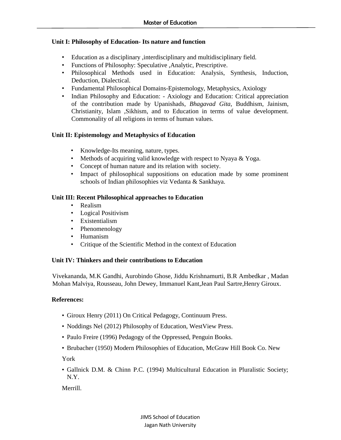# **Unit I: Philosophy of Education- Its nature and function**

- Education as a disciplinary ,interdisciplinary and multidisciplinary field.
- Functions of Philosophy: Speculative ,Analytic, Prescriptive.
- Philosophical Methods used in Education: Analysis, Synthesis, Induction, Deduction, Dialectical.
- Fundamental Philosophical Domains-Epistemology, Metaphysics, Axiology
- Indian Philosophy and Education: Axiology and Education: Critical appreciation of the contribution made by Upanishads*, Bhagavad Gita*, Buddhism, Jainism, Christianity, Islam ,Sikhism, and to Education in terms of value development. Commonality of all religions in terms of human values.

# **Unit II: Epistemology and Metaphysics of Education**

- Knowledge-Its meaning, nature, types.
- Methods of acquiring valid knowledge with respect to Nyaya & Yoga.
- Concept of human nature and its relation with society.
- Impact of philosophical suppositions on education made by some prominent schools of Indian philosophies viz Vedanta & Sankhaya.

# **Unit III: Recent Philosophical approaches to Education**

- Realism
- Logical Positivism
- Existentialism
- Phenomenology
- Humanism
- Critique of the Scientific Method in the context of Education

# **Unit IV: Thinkers and their contributions to Education**

Vivekananda, M.K Gandhi, Aurobindo Ghose, Jiddu Krishnamurti, B.R Ambedkar , Madan Mohan Malviya, Rousseau, John Dewey, Immanuel Kant,Jean Paul Sartre,Henry Giroux.

# **References:**

- Giroux Henry (2011) On Critical Pedagogy, Continuum Press.
- Noddings Nel (2012) Philosophy of Education, WestView Press.
- Paulo Freire (1996) Pedagogy of the Oppressed, Penguin Books.
- Brubacher (1950) Modern Philosophies of Education, McGraw Hill Book Co. New

York

• Gallnick D.M. & Chinn P.C. (1994) Multicultural Education in Pluralistic Society; N.Y.

Merrill.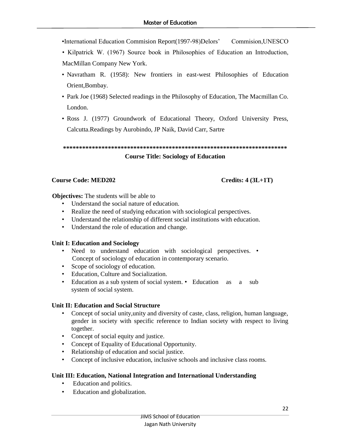•International Education Commision Report(1997-98)Delors' Commision,UNESCO

• Kilpatrick W. (1967) Source book in Philosophies of Education an Introduction, MacMillan Company New York.

- Navratham R. (1958): New frontiers in east-west Philosophies of Education Orient,Bombay.
- Park Joe (1968) Selected readings in the Philosophy of Education, The Macmillan Co. London.
- Ross J. (1977) Groundwork of Educational Theory, Oxford University Press, Calcutta.Readings by Aurobindo, JP Naik, David Carr, Sartre

**\*\*\*\*\*\*\*\*\*\*\*\*\*\*\*\*\*\*\*\*\*\*\*\*\*\*\*\*\*\*\*\*\*\*\*\*\*\*\*\*\*\*\*\*\*\*\*\*\*\*\*\*\*\*\*\*\*\*\*\*\*\*\*\*\*\*\*\*\*\* Course Title: Sociology of Education**

# **Course Code: MED202 Credits: 4 (3L+1T)**

**Objectives:** The students will be able to

- Understand the social nature of education.
- Realize the need of studying education with sociological perspectives.
- Understand the relationship of different social institutions with education.
- Understand the role of education and change.

# **Unit I: Education and Sociology**

- Need to understand education with sociological perspectives. Concept of sociology of education in contemporary scenario.
- Scope of sociology of education.
- Education, Culture and Socialization.
- Education as a sub system of social system. Education as a sub system of social system.

# **Unit II: Education and Social Structure**

- Concept of social unity,unity and diversity of caste, class, religion, human language, gender in society with specific reference to Indian society with respect to living together.
- Concept of social equity and justice.
- Concept of Equality of Educational Opportunity.
- Relationship of education and social justice.
- Concept of inclusive education, inclusive schools and inclusive class rooms.

# **Unit III: Education, National Integration and International Understanding**

- Education and politics.
- Education and globalization.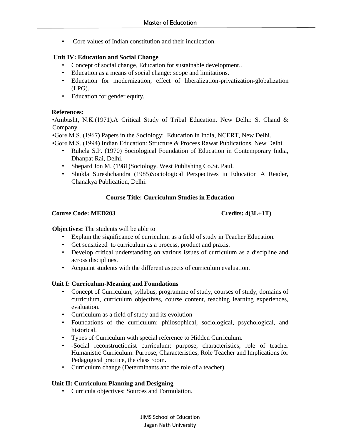• Core values of Indian constitution and their inculcation.

# **Unit IV: Education and Social Change**

- Concept of social change, Education for sustainable development..
- Education as a means of social change: scope and limitations.
- Education for modernization, effect of liberalization-privatization-globalization (LPG).
- Education for gender equity.

# **References:**

•Ambasht, N.K.(1971).A Critical Study of Tribal Education. New Delhi: S. Chand & Company.

•Gore M.S. (1967**)** Papers in the Sociology: Education in India, NCERT, New Delhi.

•Gore M.S. (1994**)** Indian Education: Structure & Process Rawat Publications, New Delhi.

- Ruhela S.P. (1970) Sociological Foundation of Education in Contemporary India, Dhanpat Rai, Delhi.
- Shepard Jon M. (1981)Sociology, West Publishing Co.St. Paul.
- Shukla Sureshchandra (1985)Sociological Perspectives in Education A Reader, Chanakya Publication, Delhi.

# **Course Title: Curriculum Studies in Education**

#### **Course Code: MED203 Credits: 4(3L+1T)**

**Objectives:** The students will be able to

- Explain the significance of curriculum as a field of study in Teacher Education.
- Get sensitized to curriculum as a process, product and praxis.
- Develop critical understanding on various issues of curriculum as a discipline and across disciplines.
- Acquaint students with the different aspects of curriculum evaluation.

# **Unit I: Curriculum-Meaning and Foundations**

- Concept of Curriculum, syllabus, programme of study, courses of study, domains of curriculum, curriculum objectives, course content, teaching learning experiences, evaluation.
- Curriculum as a field of study and its evolution
- Foundations of the curriculum: philosophical, sociological, psychological, and historical.
- Types of Curriculum with special reference to Hidden Curriculum.
- -Social reconstructionist curriculum: purpose, characteristics, role of teacher Humanistic Curriculum: Purpose, Characteristics, Role Teacher and Implications for Pedagogical practice, the class room.
- Curriculum change (Determinants and the role of a teacher)

# **Unit II: Curriculum Planning and Designing**

• Curricula objectives: Sources and Formulation.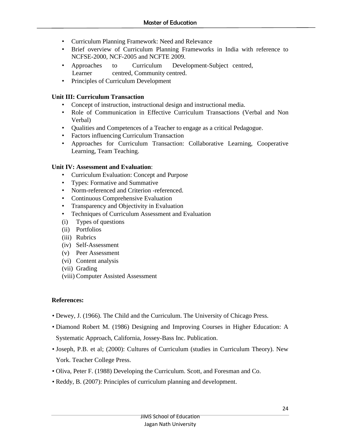- Curriculum Planning Framework: Need and Relevance
- Brief overview of Curriculum Planning Frameworks in India with reference to NCFSE-2000, NCF-2005 and NCFTE 2009.
- Approaches to Curriculum Development-Subject centred, Learner centred, Community centred.
- Principles of Curriculum Development

# **Unit III: Curriculum Transaction**

- Concept of instruction, instructional design and instructional media.
- Role of Communication in Effective Curriculum Transactions (Verbal and Non Verbal)
- Qualities and Competences of a Teacher to engage as a critical Pedagogue.
- Factors influencing Curriculum Transaction
- Approaches for Curriculum Transaction: Collaborative Learning, Cooperative Learning, Team Teaching.

# **Unit IV: Assessment and Evaluation**:

- Curriculum Evaluation: Concept and Purpose
- Types: Formative and Summative
- Norm-referenced and Criterion -referenced.
- Continuous Comprehensive Evaluation
- Transparency and Objectivity in Evaluation
- Techniques of Curriculum Assessment and Evaluation
- (i) Types of questions
- (ii) Portfolios
- (iii) Rubrics
- (iv) Self-Assessment
- (v) Peer Assessment
- (vi) Content analysis
- (vii) Grading
- (viii) Computer Assisted Assessment

# **References:**

- Dewey, J. (1966). The Child and the Curriculum. The University of Chicago Press.
- Diamond Robert M. (1986) Designing and Improving Courses in Higher Education: A Systematic Approach, California, Jossey-Bass Inc. Publication.
- Joseph, P.B. et al; (2000): Cultures of Curriculum (studies in Curriculum Theory). New York. Teacher College Press.
- Oliva, Peter F. (1988) Developing the Curriculum. Scott, and Foresman and Co.
- Reddy, B. (2007): Principles of curriculum planning and development.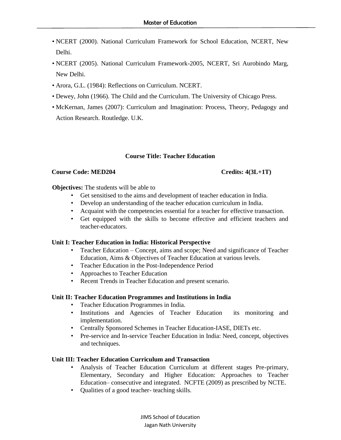- NCERT (2000). National Curriculum Framework for School Education, NCERT, New Delhi.
- NCERT (2005). National Curriculum Framework-2005, NCERT, Sri Aurobindo Marg, New Delhi.
- Arora, G.L. (1984): Reflections on Curriculum. NCERT.
- Dewey, John (1966). The Child and the Curriculum. The University of Chicago Press.
- McKernan, James (2007): Curriculum and Imagination: Process, Theory, Pedagogy and Action Research. Routledge. U.K.

# **Course Title: Teacher Education**

#### **Course Code: MED204 Credits: 4(3L+1T)**

#### **Objectives:** The students will be able to

- Get sensitised to the aims and development of teacher education in India.
- Develop an understanding of the teacher education curriculum in India.
- Acquaint with the competencies essential for a teacher for effective transaction.
- Get equipped with the skills to become effective and efficient teachers and teacher-educators.

# **Unit I: Teacher Education in India: Historical Perspective**

- Teacher Education Concept, aims and scope; Need and significance of Teacher Education, Aims & Objectives of Teacher Education at various levels.
- Teacher Education in the Post-Independence Period
- Approaches to Teacher Education
- Recent Trends in Teacher Education and present scenario.

# **Unit II: Teacher Education Programmes and Institutions in India**

- Teacher Education Programmes in India.
- Institutions and Agencies of Teacher Education its monitoring and implementation.
- Centrally Sponsored Schemes in Teacher Education-IASE, DIETs etc.
- Pre-service and In-service Teacher Education in India: Need, concept, objectives and techniques.

# **Unit III: Teacher Education Curriculum and Transaction**

- Analysis of Teacher Education Curriculum at different stages Pre-primary, Elementary, Secondary and Higher Education: Approaches to Teacher Education– consecutive and integrated. NCFTE (2009) as prescribed by NCTE.
- Qualities of a good teacher- teaching skills.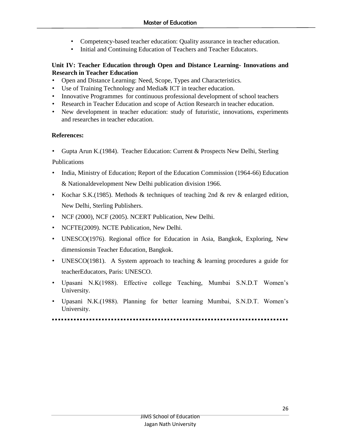- Competency-based teacher education: Quality assurance in teacher education.
- Initial and Continuing Education of Teachers and Teacher Educators.

# **Unit IV: Teacher Education through Open and Distance Learning- Innovations and Research in Teacher Education**

- Open and Distance Learning: Need, Scope, Types and Characteristics.
- Use of Training Technology and Media & ICT in teacher education.
- Innovative Programmes for continuous professional development of school teachers
- Research in Teacher Education and scope of Action Research in teacher education.
- New development in teacher education: study of futuristic, innovations, experiments and researches in teacher education.

# **References:**

• Gupta Arun K.(1984). Teacher Education: Current & Prospects New Delhi, Sterling

Publications

- India, Ministry of Education; Report of the Education Commission (1964-66) Education & Nationaldevelopment New Delhi publication division 1966.
- Kochar S.K.(1985). Methods & techniques of teaching 2nd & rev & enlarged edition, New Delhi, Sterling Publishers.
- NCF (2000), NCF (2005). NCERT Publication, New Delhi.
- NCFTE(2009). NCTE Publication, New Delhi.
- UNESCO(1976). Regional office for Education in Asia, Bangkok, Exploring, New dimensionsin Teacher Education, Bangkok.
- UNESCO(1981). A System approach to teaching  $\&$  learning procedures a guide for teacherEducators, Paris: UNESCO.
- Upasani N.K(1988). Effective college Teaching, Mumbai S.N.D.T Women's University.
- Upasani N.K.(1988). Planning for better learning Mumbai, S.N.D.T. Women's University.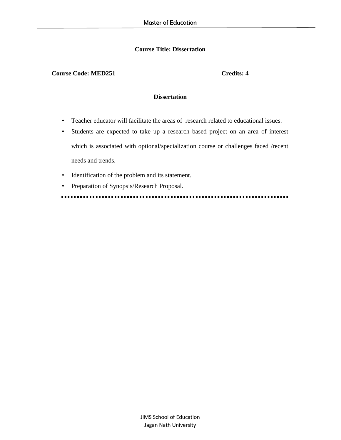# **Course Title: Dissertation**

#### **Course Code: MED251 Credits: 4**

#### **Dissertation**

- Teacher educator will facilitate the areas of research related to educational issues.
- Students are expected to take up a research based project on an area of interest which is associated with optional/specialization course or challenges faced /recent needs and trends.
- Identification of the problem and its statement.
- Preparation of Synopsis/Research Proposal.

............... . . . . . . . . . . . . . .  $\blacksquare$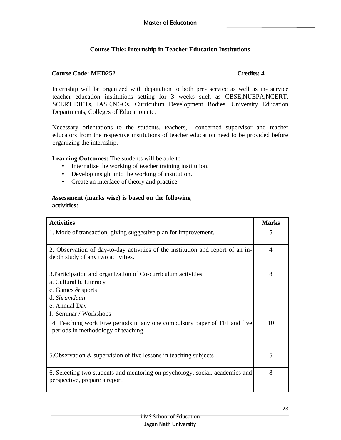# **Course Title: Internship in Teacher Education Institutions**

# **Course Code: MED252 Credits: 4**

Internship will be organized with deputation to both pre- service as well as in- service teacher education institutions setting for 3 weeks such as CBSE,NUEPA,NCERT, SCERT,DIETs, IASE,NGOs, Curriculum Development Bodies, University Education Departments, Colleges of Education etc.

Necessary orientations to the students, teachers, concerned supervisor and teacher educators from the respective institutions of teacher education need to be provided before organizing the internship.

**Learning Outcomes:** The students will be able to

- Internalize the working of teacher training institution.
- Develop insight into the working of institution.
- Create an interface of theory and practice.

# **Assessment (marks wise) is based on the following activities:**

| <b>Activities</b>                                                                                                                                                        | <b>Marks</b> |
|--------------------------------------------------------------------------------------------------------------------------------------------------------------------------|--------------|
| 1. Mode of transaction, giving suggestive plan for improvement.                                                                                                          | 5            |
| 2. Observation of day-to-day activities of the institution and report of an in-<br>depth study of any two activities.                                                    | 4            |
| 3. Participation and organization of Co-curriculum activities<br>a. Cultural b. Literacy<br>c. Games & sports<br>d. Shramdaan<br>e. Annual Day<br>f. Seminar / Workshops | 8            |
| 4. Teaching work Five periods in any one compulsory paper of TEI and five<br>periods in methodology of teaching.                                                         | 10           |
| 5. Observation & supervision of five lessons in teaching subjects                                                                                                        | 5            |
| 6. Selecting two students and mentoring on psychology, social, academics and<br>perspective, prepare a report.                                                           | 8            |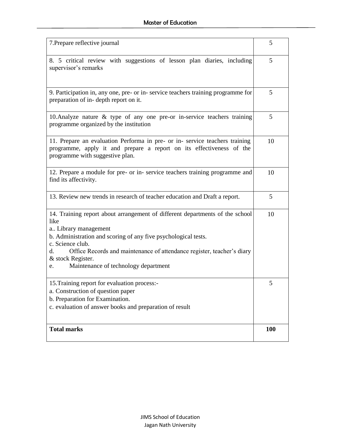| 7. Prepare reflective journal                                                                                                                                                                                                                                                                                                                         | 5          |
|-------------------------------------------------------------------------------------------------------------------------------------------------------------------------------------------------------------------------------------------------------------------------------------------------------------------------------------------------------|------------|
| 8. 5 critical review with suggestions of lesson plan diaries, including<br>supervisor's remarks                                                                                                                                                                                                                                                       | 5          |
| 9. Participation in, any one, pre- or in-service teachers training programme for<br>preparation of in-depth report on it.                                                                                                                                                                                                                             | 5          |
| 10. Analyze nature $\&$ type of any one pre-or in-service teachers training<br>programme organized by the institution                                                                                                                                                                                                                                 | 5          |
| 11. Prepare an evaluation Performa in pre- or in-service teachers training<br>programme, apply it and prepare a report on its effectiveness of the<br>programme with suggestive plan.                                                                                                                                                                 | 10         |
| 12. Prepare a module for pre- or in-service teachers training programme and<br>find its affectivity.                                                                                                                                                                                                                                                  | 10         |
| 13. Review new trends in research of teacher education and Draft a report.                                                                                                                                                                                                                                                                            | 5          |
| 14. Training report about arrangement of different departments of the school<br>like<br>a Library management<br>b. Administration and scoring of any five psychological tests.<br>c. Science club.<br>Office Records and maintenance of attendance register, teacher's diary<br>d.<br>& stock Register.<br>Maintenance of technology department<br>e. | 10         |
| 15. Training report for evaluation process:<br>a. Construction of question paper<br>b. Preparation for Examination.<br>c. evaluation of answer books and preparation of result                                                                                                                                                                        | 5          |
| <b>Total marks</b>                                                                                                                                                                                                                                                                                                                                    | <b>100</b> |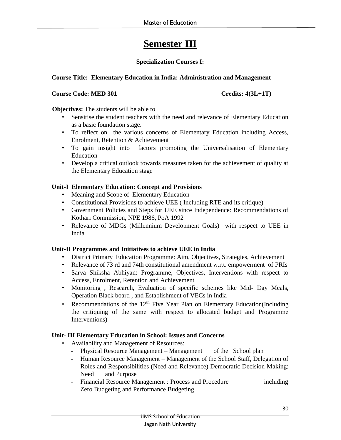# **Semester III**

# **Specialization Courses I:**

# **Course Title: Elementary Education in India: Administration and Management**

# **Course Code: MED 301** Credits: 4(3L+1T)

**Objectives:** The students will be able to

- Sensitise the student teachers with the need and relevance of Elementary Education as a basic foundation stage.
- To reflect on the various concerns of Elementary Education including Access, Enrolment, Retention & Achievement
- To gain insight into factors promoting the Universalisation of Elementary Education
- Develop a critical outlook towards measures taken for the achievement of quality at the Elementary Education stage

# **Unit-I Elementary Education: Concept and Provisions**

- Meaning and Scope of Elementary Education
- Constitutional Provisions to achieve UEE ( Including RTE and its critique)
- Government Policies and Steps for UEE since Independence: Recommendations of Kothari Commission, NPE 1986, PoA 1992
- Relevance of MDGs (Millennium Development Goals) with respect to UEE in India

# **Unit-II Programmes and Initiatives to achieve UEE in India**

- District Primary Education Programme: Aim, Objectives, Strategies, Achievement
- Relevance of 73 rd and 74th constitutional amendment w.r.t. empowerment of PRIs
- Sarva Shiksha Abhiyan: Programme, Objectives, Interventions with respect to Access, Enrolment, Retention and Achievement
- Monitoring , Research, Evaluation of specific schemes like Mid- Day Meals, Operation Black board , and Establishment of VECs in India
- Recommendations of the  $12<sup>th</sup>$  Five Year Plan on Elementary Education(Including the critiquing of the same with respect to allocated budget and Programme Interventions)

# **Unit- III Elementary Education in School: Issues and Concerns**

- Availability and Management of Resources:
	- Physical Resource Management Management of the School plan
	- Human Resource Management Management of the School Staff, Delegation of Roles and Responsibilities (Need and Relevance) Democratic Decision Making: Need and Purpose
	- Financial Resource Management : Process and Procedure including Zero Budgeting and Performance Budgeting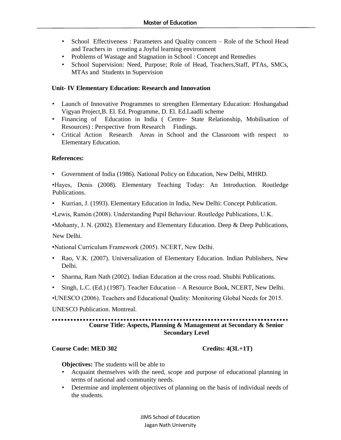- School Effectiveness : Parameters and Quality concern Role of the School Head and Teachers in creating a Joyful learning environment
- Problems of Wastage and Stagnation in School : Concept and Remedies
- School Supervision: Need, Purpose; Role of Head, Teachers,Staff, PTAs, SMCs, MTAs and Students in Supervision

# **Unit- IV Elementary Education: Research and Innovation**

- Launch of Innovative Programmes to strengthen Elementary Education: Hoshangabad Vigyan Project,B. El. Ed. Programme, D. El. Ed.Laadli scheme
- Financing of Education in India ( Centre- State Relationship, Mobilisation of Resources) : Perspective from Research Findings.
- Critical Action Research Areas in School and the Classroom with respect to Elementary Education.

# **References:**

• Government of India (1986). National Policy on Education, New Delhi, MHRD.

•Hayes, Denis (2008). Elementary Teaching Today: An Introduction. Routledge Publications.

• Kurrian, J. (1993). Elementary Education in India, New Delhi: Concept Publication.

•Lewis, Ramón (2008). Understanding Pupil Behaviour. Routledge Publications, U.K.

•Mohanty, J. N. (2002). Elementary and Elementary Education. Deep  $\&$  Deep Publications,

New Delhi.

•National Curriculum Framework (2005). NCERT, New Delhi.

- Rao, V.K. (2007). Universalization of Elementary Education. Indian Publishers, New Delhi.
- Sharma, Ram Nath (2002). Indian Education at the cross road. Shubhi Publications.
- Singh, L.C. (Ed.) (1987). Teacher Education A Resource Book, NCERT, New Delhi.

•UNESCO (2006). Teachers and Educational Quality: Monitoring Global Needs for 2015.

UNESCO Publication. Montreal.

#### **Course Title: Aspects, Planning & Management at Secondary & Senior Secondary Level**

# **Course Code: MED 302 Credits: 4(3L+1T)**

 **Objectives:** The students will be able to

- Acquaint themselves with the need, scope and purpose of educational planning in terms of national and community needs.
- Determine and implement objectives of planning on the basis of individual needs of the students.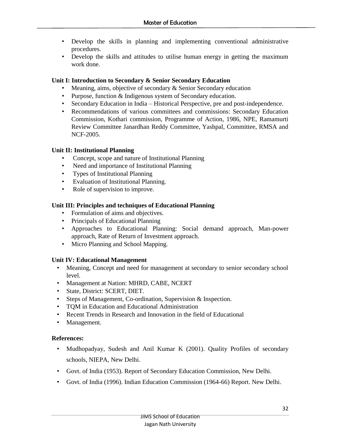- Develop the skills in planning and implementing conventional administrative procedures.
- Develop the skills and attitudes to utilise human energy in getting the maximum work done.

# **Unit I: Introduction to Secondary & Senior Secondary Education**

- Meaning, aims, objective of secondary & Senior Secondary education
- Purpose, function & Indigenous system of Secondary education.
- Secondary Education in India Historical Perspective, pre and post-independence.
- Recommendations of various committees and commissions: Secondary Education Commission, Kothari commission, Programme of Action, 1986, NPE, Ramamurti Review Committee Janardhan Reddy Committee, Yashpal, Committee, RMSA and NCF-2005.

# **Unit II: Institutional Planning**

- Concept, scope and nature of Institutional Planning
- Need and importance of Institutional Planning
- Types of Institutional Planning
- Evaluation of Institutional Planning.
- Role of supervision to improve.

# **Unit III: Principles and techniques of Educational Planning**

- Formulation of aims and objectives.
- Principals of Educational Planning
- Approaches to Educational Planning: Social demand approach, Man-power approach, Rate of Return of Investment approach.
- Micro Planning and School Mapping.

# **Unit IV: Educational Management**

- Meaning, Concept and need for management at secondary to senior secondary school level.
- Management at Nation: MHRD, CABE, NCERT
- State, District: SCERT, DIET.
- Steps of Management, Co-ordination, Supervision & Inspection.
- TQM in Education and Educational Administration
- Recent Trends in Research and Innovation in the field of Educational
- Management.

# **References:**

- Mudhopadyay, Sudesh and Anil Kumar K (2001). Quality Profiles of secondary schools, NIEPA, New Delhi.
- Govt. of India (1953). Report of Secondary Education Commission, New Delhi.
- Govt. of India (1996). Indian Education Commission (1964-66) Report. New Delhi.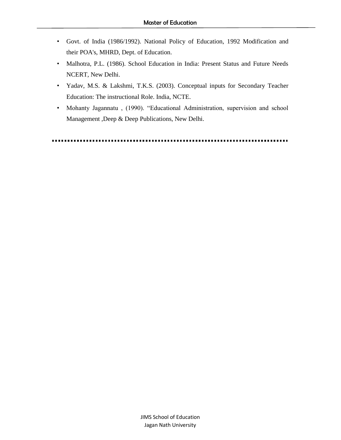- Govt. of India (1986/1992). National Policy of Education, 1992 Modification and their POA's, MHRD, Dept. of Education.
- Malhotra, P.L. (1986). School Education in India: Present Status and Future Needs NCERT, New Delhi.
- Yadav, M.S. & Lakshmi, T.K.S. (2003). Conceptual inputs for Secondary Teacher Education: The instructional Role. India, NCTE.
- Mohanty Jagannatu , (1990). "Educational Administration, supervision and school Management ,Deep & Deep Publications, New Delhi.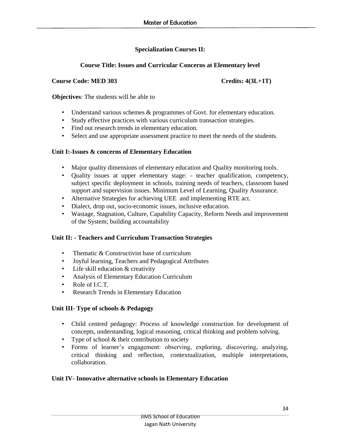# **Specialization Courses II:**

# **Course Title: Issues and Curricular Concerns at Elementary level**

# **Course Code: MED 303 Credits: 4(3L+1T)**

**Objectives**: The students will be able to

- Understand various schemes & programmes of Govt. for elementary education.
- Study effective practices with various curriculum transaction strategies.
- Find out research trends in elementary education.
- Select and use appropriate assessment practice to meet the needs of the students.

# **Unit I:-Issues & concerns of Elementary Education**

- Major quality dimensions of elementary education and Quality monitoring tools.
- Quality issues at upper elementary stage: teacher qualification, competency, subject specific deployment in schools, training needs of teachers, classroom based support and supervision issues. Minimum Level of Learning, Quality Assurance.
- Alternative Strategies for achieving UEE and implementing RTE act.
- Dialect, drop out, socio-economic issues, inclusive education.
- Wastage, Stagnation, Culture, Capability Capacity, Reform Needs and improvement of the System; building accountability

# **Unit II: - Teachers and Curriculum Transaction Strategies**

- Thematic & Constructivist base of curriculum
- Joyful learning, Teachers and Pedagogical Attributes
- Life skill education  $&$  creativity
- Analysis of Elementary Education Curriculum
- Role of I.C.T.
- Research Trends in Elementary Education

# **Unit III- Type of schools & Pedagogy**

- Child centred pedagogy: Process of knowledge construction for development of concepts, understanding, logical reasoning, critical thinking and problem solving.
- Type of school & their contribution to society
- Forms of learner's engagement: observing, exploring, discovering, analyzing, critical thinking and reflection, contextualization, multiple interpretations, collaboration.

# **Unit IV- Innovative alternative schools in Elementary Education**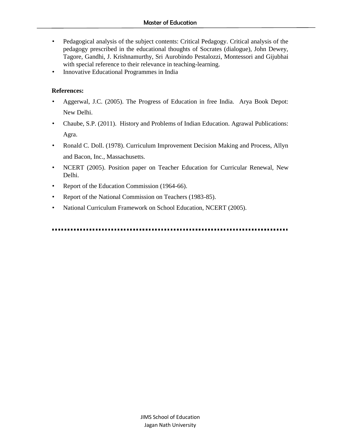- Pedagogical analysis of the subject contents: Critical Pedagogy. Critical analysis of the pedagogy prescribed in the educational thoughts of Socrates (dialogue), John Dewey, Tagore, Gandhi, J. Krishnamurthy, Sri Aurobindo Pestalozzi, Montessori and Gijubhai with special reference to their relevance in teaching-learning.
- Innovative Educational Programmes in India

# **References:**

- Aggerwal, J.C. (2005). The Progress of Education in free India. Arya Book Depot: New Delhi.
- Chaube, S.P. (2011). History and Problems of Indian Education. Agrawal Publications: Agra.
- Ronald C. Doll. (1978). Curriculum Improvement Decision Making and Process, Allyn and Bacon, Inc., Massachusetts.
- NCERT (2005). Position paper on Teacher Education for Curricular Renewal, New Delhi.
- Report of the Education Commission (1964-66).
- Report of the National Commission on Teachers (1983-85).
- National Curriculum Framework on School Education, NCERT (2005).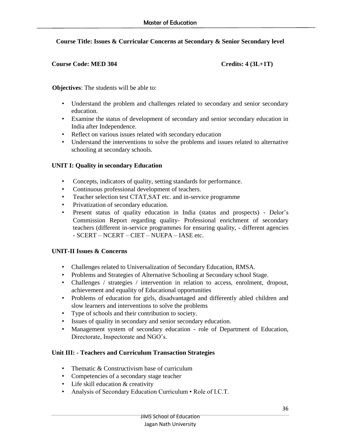# **Course Title: Issues & Curricular Concerns at Secondary & Senior Secondary level**

# **Course Code: MED 304 Credits: 4 (3L+1T)**

**Objectives:** The students will be able to:

- Understand the problem and challenges related to secondary and senior secondary education.
- Examine the status of development of secondary and senior secondary education in India after Independence.
- Reflect on various issues related with secondary education
- Understand the interventions to solve the problems and issues related to alternative schooling at secondary schools.

# **UNIT I: Quality in secondary Education**

- Concepts, indicators of quality, setting standards for performance.
- Continuous professional development of teachers.
- Teacher selection test CTAT,SAT etc. and in-service programme
- Privatization of secondary education.
- Present status of quality education in India (status and prospects) Delor's Commission Report regarding quality- Professional enrichment of secondary teachers (different in-service programmes for ensuring quality, - different agencies - SCERT – NCERT – CIET – NUEPA – IASE etc.

# **UNIT-II Issues & Concerns**

- Challenges related to Universalization of Secondary Education, RMSA.
- Problems and Strategies of Alternative Schooling at Secondary school Stage.
- Challenges / strategies / intervention in relation to access, enrolment, dropout, achievement and equality of Educational opportunities
- Problems of education for girls, disadvantaged and differently abled children and slow learners and interventions to solve the problems
- Type of schools and their contribution to society.
- Issues of quality in secondary and senior secondary education.
- Management system of secondary education role of Department of Education, Directorate, Inspectorate and NGO's.

# **Unit III: - Teachers and Curriculum Transaction Strategies**

- Thematic & Constructivism base of curriculum
- Competencies of a secondary stage teacher
- Life skill education & creativity
- Analysis of Secondary Education Curriculum Role of I.C.T.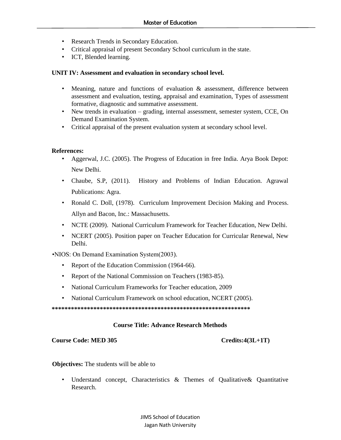- Research Trends in Secondary Education.
- Critical appraisal of present Secondary School curriculum in the state.
- ICT, Blended learning.

### **UNIT IV: Assessment and evaluation in secondary school level.**

- Meaning, nature and functions of evaluation & assessment, difference between assessment and evaluation, testing, appraisal and examination, Types of assessment formative, diagnostic and summative assessment.
- New trends in evaluation grading, internal assessment, semester system, CCE, On Demand Examination System.
- Critical appraisal of the present evaluation system at secondary school level.

### **References:**

- Aggerwal, J.C. (2005). The Progress of Education in free India. Arya Book Depot: New Delhi.
- Chaube, S.P, (2011). History and Problems of Indian Education. Agrawal Publications: Agra.
- Ronald C. Doll, (1978). Curriculum Improvement Decision Making and Process. Allyn and Bacon, Inc.: Massachusetts.
- NCTE (2009). National Curriculum Framework for Teacher Education, New Delhi.
- NCERT (2005). Position paper on Teacher Education for Curricular Renewal, New Delhi.

•NIOS: On Demand Examination System(2003).

- Report of the Education Commission (1964-66).
- Report of the National Commission on Teachers (1983-85).
- National Curriculum Frameworks for Teacher education, 2009
- National Curriculum Framework on school education, NCERT (2005).

**\*\*\*\*\*\*\*\*\*\*\*\*\*\*\*\*\*\*\*\*\*\*\*\*\*\*\*\*\*\*\*\*\*\*\*\*\*\*\*\*\*\*\*\*\*\*\*\*\*\*\*\*\*\*\*\*\*\*\*\*\*\*** 

### **Course Title: Advance Research Methods**

### **Course Code: MED 305 Credits:4(3L+1T)**

**Objectives:** The students will be able to

• Understand concept, Characteristics & Themes of Qualitative& Quantitative Research.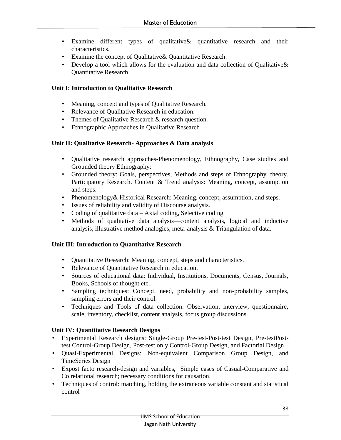- Examine different types of qualitative& quantitative research and their characteristics.
- Examine the concept of Qualitative& Quantitative Research.
- Develop a tool which allows for the evaluation and data collection of Qualitative & Quantitative Research.

# **Unit I: Introduction to Qualitative Research**

- Meaning, concept and types of Qualitative Research.
- Relevance of Qualitative Research in education.
- Themes of Qualitative Research & research question.
- Ethnographic Approaches in Qualitative Research

# **Unit II: Qualitative Research- Approaches & Data analysis**

- Qualitative research approaches-Phenomenology, Ethnography, Case studies and Grounded theory Ethnography:
- Grounded theory: Goals, perspectives, Methods and steps of Ethnography. theory. Participatory Research. Content & Trend analysis: Meaning, concept, assumption and steps.
- Phenomenology& Historical Research: Meaning, concept, assumption, and steps.
- Issues of reliability and validity of Discourse analysis.
- Coding of qualitative data  $-$  Axial coding, Selective coding
- Methods of qualitative data analysis—content analysis, logical and inductive analysis, illustrative method analogies, meta-analysis & Triangulation of data.

### **Unit III: Introduction to Quantitative Research**

- Quantitative Research: Meaning, concept, steps and characteristics.
- Relevance of Quantitative Research in education.
- Sources of educational data: Individual, Institutions, Documents, Census, Journals, Books, Schools of thought etc.
- Sampling techniques: Concept, need, probability and non-probability samples, sampling errors and their control.
- Techniques and Tools of data collection: Observation, interview, questionnaire, scale, inventory, checklist, content analysis, focus group discussions.

# **Unit IV: Quantitative Research Designs**

- Experimental Research designs: Single-Group Pre-test-Post-test Design, Pre-testPosttest Control-Group Design, Post-test only Control-Group Design, and Factorial Design
- Quasi-Experimental Designs: Non-equivalent Comparison Group Design, and TimeSeries Design
- Expost facto research-design and variables, Simple cases of Casual-Comparative and Co relational research; necessary conditions for causation.
- Techniques of control: matching, holding the extraneous variable constant and statistical control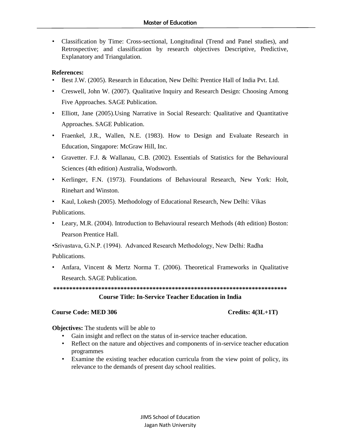• Classification by Time: Cross-sectional, Longitudinal (Trend and Panel studies), and Retrospective; and classification by research objectives Descriptive, Predictive, Explanatory and Triangulation.

# **References:**

- Best J.W. (2005). Research in Education, New Delhi: Prentice Hall of India Pvt. Ltd.
- Creswell, John W. (2007). Qualitative Inquiry and Research Design: Choosing Among Five Approaches. SAGE Publication.
- Elliott, Jane (2005). Using Narrative in Social Research: Qualitative and Quantitative Approaches. SAGE Publication.
- Fraenkel, J.R., Wallen, N.E. (1983). How to Design and Evaluate Research in Education, Singapore: McGraw Hill, Inc.
- Gravetter. F.J. & Wallanau, C.B. (2002). Essentials of Statistics for the Behavioural Sciences (4th edition) Australia, Wodsworth.
- Kerlinger, F.N. (1973). Foundations of Behavioural Research, New York: Holt, Rinehart and Winston.

• Kaul, Lokesh (2005). Methodology of Educational Research, New Delhi: Vikas Publications.

• Leary, M.R. (2004). Introduction to Behavioural research Methods (4th edition) Boston: Pearson Prentice Hall.

•Srivastava, G.N.P. (1994). Advanced Research Methodology, New Delhi: Radha Publications.

• Anfara, Vincent & Mertz Norma T. (2006). Theoretical Frameworks in Qualitative Research. SAGE Publication.

**\*\*\*\*\*\*\*\*\*\*\*\*\*\*\*\*\*\*\*\*\*\*\*\*\*\*\*\*\*\*\*\*\*\*\*\*\*\*\*\*\*\*\*\*\*\*\*\*\*\*\*\*\*\*\*\*\*\*\*\*\*\*\*\*\*\*\*\*\*\*\*\*\* Course Title: In-Service Teacher Education in India**

# **Course Code: MED 306** Credits: 4(3L+1T)

**Objectives:** The students will be able to

- Gain insight and reflect on the status of in-service teacher education.
- Reflect on the nature and objectives and components of in-service teacher education programmes
- Examine the existing teacher education curricula from the view point of policy, its relevance to the demands of present day school realities.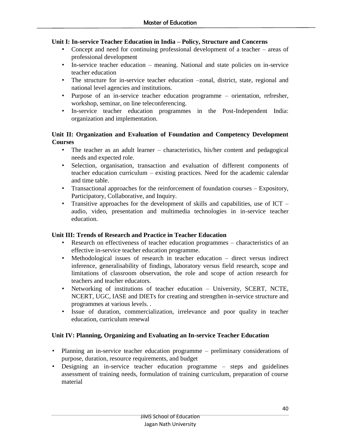### **Unit I: In-service Teacher Education in India – Policy, Structure and Concerns**

- Concept and need for continuing professional development of a teacher areas of professional development
- In-service teacher education meaning. National and state policies on in-service teacher education
- The structure for in-service teacher education –zonal, district, state, regional and national level agencies and institutions.
- Purpose of an in-service teacher education programme orientation, refresher, workshop, seminar, on line teleconferencing.
- In-service teacher education programmes in the Post-Independent India: organization and implementation.

# **Unit II: Organization and Evaluation of Foundation and Competency Development Courses**

- The teacher as an adult learner characteristics, his/her content and pedagogical needs and expected role.
- Selection, organisation, transaction and evaluation of different components of teacher education curriculum – existing practices. Need for the academic calendar and time table.
- Transactional approaches for the reinforcement of foundation courses Expository, Participatory, Collaborative, and Inquiry.
- Transitive approaches for the development of skills and capabilities, use of ICT audio, video, presentation and multimedia technologies in in-service teacher education.

# **Unit III: Trends of Research and Practice in Teacher Education**

- Research on effectiveness of teacher education programmes characteristics of an effective in-service teacher education programme.
- Methodological issues of research in teacher education direct versus indirect inference, generalisability of findings, laboratory versus field research, scope and limitations of classroom observation, the role and scope of action research for teachers and teacher educators.
- Networking of institutions of teacher education University, SCERT, NCTE, NCERT, UGC, IASE and DIETs for creating and strengthen in-service structure and programmes at various levels. .
- Issue of duration, commercialization, irrelevance and poor quality in teacher education, curriculum renewal

# **Unit IV: Planning, Organizing and Evaluating an In-service Teacher Education**

- Planning an in-service teacher education programme preliminary considerations of purpose, duration, resource requirements, and budget
- Designing an in-service teacher education programme steps and guidelines assessment of training needs, formulation of training curriculum, preparation of course material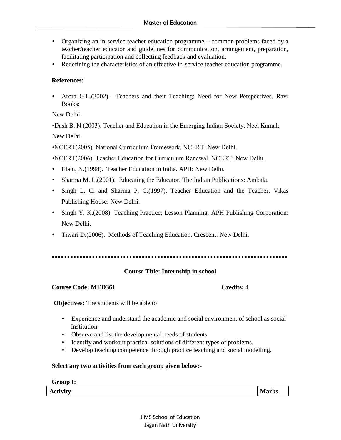- Organizing an in-service teacher education programme common problems faced by a teacher/teacher educator and guidelines for communication, arrangement, preparation, facilitating participation and collecting feedback and evaluation.
- Redefining the characteristics of an effective in-service teacher education programme.

# **References:**

• Arora G.L.(2002). Teachers and their Teaching: Need for New Perspectives. Ravi Books:

New Delhi.

•Dash B. N.(2003). Teacher and Education in the Emerging Indian Society. Neel Kamal: New Delhi.

•NCERT(2005). National Curriculum Framework. NCERT: New Delhi.

•NCERT(2006). Teacher Education for Curriculum Renewal. NCERT: New Delhi.

- Elahi, N.(1998). Teacher Education in India. APH: New Delhi.
- Sharma M. L. (2001). Educating the Educator. The Indian Publications: Ambala.
- Singh L. C. and Sharma P. C.(1997). Teacher Education and the Teacher. Vikas Publishing House: New Delhi.
- Singh Y. K.(2008). Teaching Practice: Lesson Planning. APH Publishing Corporation: New Delhi.
- Tiwari D.(2006). Methods of Teaching Education. Crescent: New Delhi.

# **Course Title: Internship in school**

### **Course Code: MED361****Credits: 4**

**Objectives:** The students will be able to

- Experience and understand the academic and social environment of school as social Institution.
- Observe and list the developmental needs of students.
- Identify and workout practical solutions of different types of problems.
- Develop teaching competence through practice teaching and social modelling.

### **Select any two activities from each group given below:-**

### **Group I:**

Activity **Marks Marks**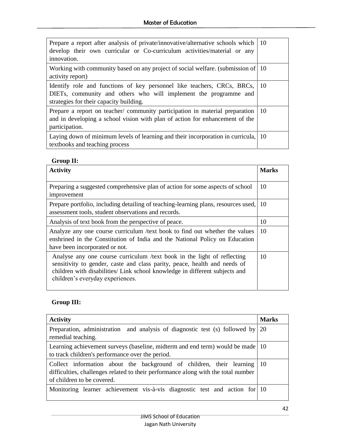| Prepare a report after analysis of private/innovative/alternative schools which<br>develop their own curricular or Co-curriculum activities/material or any<br>innovation.             | - 10          |
|----------------------------------------------------------------------------------------------------------------------------------------------------------------------------------------|---------------|
| Working with community based on any project of social welfare. (submission of 10)<br>activity report)                                                                                  |               |
| Identify role and functions of key personnel like teachers, CRCs, BRCs,<br>DIETs, community and others who will implement the programme and<br>strategies for their capacity building. | - 10          |
| Prepare a report on teacher/community participation in material preparation<br>and in developing a school vision with plan of action for enhancement of the<br>participation.          | <sup>10</sup> |
| Laying down of minimum levels of learning and their incorporation in curricula,<br>textbooks and teaching process                                                                      | - 10          |

# **Group II:**

| <b>Activity</b>                                                                                                                                                                                                                                                         | <b>Marks</b> |
|-------------------------------------------------------------------------------------------------------------------------------------------------------------------------------------------------------------------------------------------------------------------------|--------------|
| Preparing a suggested comprehensive plan of action for some aspects of school<br>improvement                                                                                                                                                                            | 10           |
| Prepare portfolio, including detailing of teaching-learning plans, resources used,<br>assessment tools, student observations and records.                                                                                                                               | 10           |
| Analysis of text book from the perspective of peace.                                                                                                                                                                                                                    | 10           |
| Analyze any one course curriculum /text book to find out whether the values<br>enshrined in the Constitution of India and the National Policy on Education<br>have been incorporated or not.                                                                            | 10           |
| Analyse any one course curriculum /text book in the light of reflecting<br>sensitivity to gender, caste and class parity, peace, health and needs of<br>children with disabilities/ Link school knowledge in different subjects and<br>children's everyday experiences. | 10           |

# **Group III:**

| <b>Activity</b>                                                                                                                                                                                      | <b>Marks</b> |
|------------------------------------------------------------------------------------------------------------------------------------------------------------------------------------------------------|--------------|
| Preparation, administration and analysis of diagnostic test (s) followed by $\vert$ 20<br>remedial teaching.                                                                                         |              |
| Learning achievement surveys (baseline, midterm and end term) would be made 10<br>to track children's performance over the period.                                                                   |              |
| Collect information about the background of children, their learning $ 10\rangle$<br>difficulties, challenges related to their performance along with the total number<br>of children to be covered. |              |
| Monitoring learner achievement vis-à-vis diagnostic test and action for 10                                                                                                                           |              |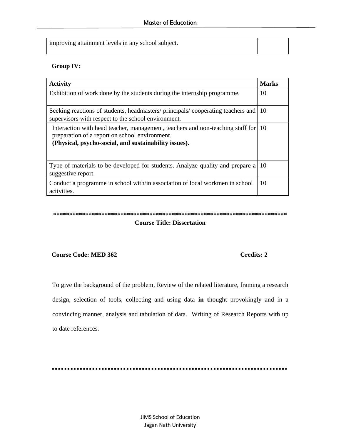improving attainment levels in any school subject.

# **Group IV:**

| <b>Activity</b>                                                                                                                                                                              | <b>Marks</b> |
|----------------------------------------------------------------------------------------------------------------------------------------------------------------------------------------------|--------------|
| Exhibition of work done by the students during the internship programme.                                                                                                                     | 10           |
|                                                                                                                                                                                              |              |
| Seeking reactions of students, headmasters/principals/cooperating teachers and<br>supervisors with respect to the school environment.                                                        | 10           |
| Interaction with head teacher, management, teachers and non-teaching staff for 10<br>preparation of a report on school environment.<br>(Physical, psycho-social, and sustainability issues). |              |
| Type of materials to be developed for students. Analyze quality and prepare a<br>suggestive report.                                                                                          | 10           |
| Conduct a programme in school with/in association of local workmen in school<br>activities.                                                                                                  | 10           |

# **\*\*\*\*\*\*\*\*\*\*\*\*\*\*\*\*\*\*\*\*\*\*\*\*\*\*\*\*\*\*\*\*\*\*\*\*\*\*\*\*\*\*\*\*\*\*\*\*\*\*\*\*\*\*\*\*\*\*\*\*\*\*\*\*\*\*\*\*\*\*\*\*\* Course Title: Dissertation**

### **Course Code: MED 362** Credits: 2

To give the background of the problem, Review of the related literature, framing a research design, selection of tools, collecting and using data **in t**hought provokingly and in a convincing manner, analysis and tabulation of data. Writing of Research Reports with up to date references.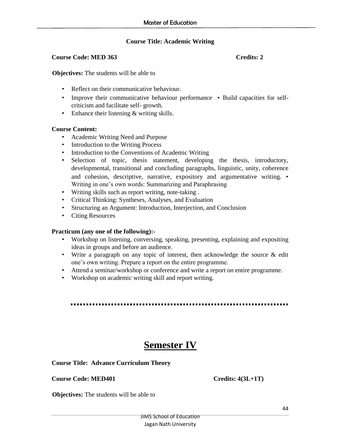# **Course Title: Academic Writing**

#### **Course Code: MED 363** Credits: 2

**Objectives:** The students will be able to

- Reflect on their communicative behaviour.
- Improve their communicative behaviour performance Build capacities for selfcriticism and facilitate self- growth.
- Enhance their listening & writing skills.

#### **Course Content:**

- Academic Writing Need and Purpose
- Introduction to the Writing Process
- Introduction to the Conventions of Academic Writing
- Selection of topic, thesis statement, developing the thesis, introductory, developmental, transitional and concluding paragraphs, linguistic, unity, coherence and cohesion, descriptive, narrative, expository and argumentative writing. • Writing in one's own words: Summarizing and Paraphrasing
- Writing skills such as report writing, note-taking .
- Critical Thinking: Syntheses, Analyses, and Evaluation
- Structuring an Argument: Introduction, Interjection, and Conclusion
- Citing Resources

### **Practicum (any one of the following):-**

- Workshop on listening, conversing, speaking, presenting, explaining and expositing ideas in groups and before an audience.
- Write a paragraph on any topic of interest, then acknowledge the source & edit one's own writing. Prepare a report on the entire programme.
- Attend a seminar/workshop or conference and write a report on entire programme.
- Workshop on academic writing skill and report writing.

# **Semester IV**

### **Course Title: Advance Curriculum Theory**

Course Code: MED401 Credits: 4(3L+1T)

**Objectives:** The students will be able to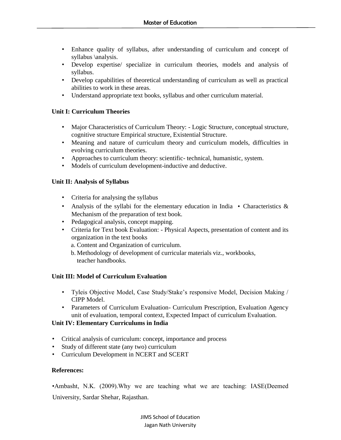- Enhance quality of syllabus, after understanding of curriculum and concept of syllabus \analysis.
- Develop expertise/ specialize in curriculum theories, models and analysis of syllabus.
- Develop capabilities of theoretical understanding of curriculum as well as practical abilities to work in these areas.
- Understand appropriate text books, syllabus and other curriculum material.

# **Unit I: Curriculum Theories**

- Major Characteristics of Curriculum Theory: Logic Structure, conceptual structure, cognitive structure Empirical structure, Existential Structure.
- Meaning and nature of curriculum theory and curriculum models, difficulties in evolving curriculum theories.
- Approaches to curriculum theory: scientific- technical, humanistic, system.
- Models of curriculum development-inductive and deductive.

# **Unit II: Analysis of Syllabus**

- Criteria for analysing the syllabus
- Analysis of the syllabi for the elementary education in India Characteristics  $\&$ Mechanism of the preparation of text book.
- Pedagogical analysis, concept mapping.
- Criteria for Text book Evaluation: Physical Aspects, presentation of content and its organization in the text books
	- a. Content and Organization of curriculum.
	- b. Methodology of development of curricular materials viz., workbooks, teacher handbooks.

### **Unit III: Model of Curriculum Evaluation**

- Tyleis Objective Model, Case Study/Stake's responsive Model, Decision Making / CIPP Model.
- Parameters of Curriculum Evaluation- Curriculum Prescription, Evaluation Agency unit of evaluation, temporal context, Expected Impact of curriculum Evaluation.

# **Unit IV: Elementary Curriculums in India**

- Critical analysis of curriculum: concept, importance and process
- Study of different state (any two) curriculum
- Curriculum Development in NCERT and SCERT

### **References:**

•Ambasht, N.K. (2009).Why we are teaching what we are teaching: IASE(Deemed University, Sardar Shehar, Rajasthan.

> JIMS School of Education Jagan Nath University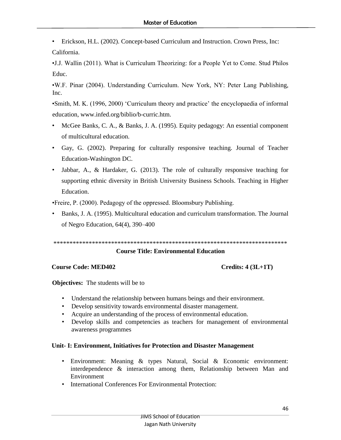• Erickson, H.L. (2002). Concept-based Curriculum and Instruction. Crown Press, Inc: California.

•J.J. Wallin (2011). What is Curriculum Theorizing: for a People Yet to Come. Stud Philos Educ.

•W.F. Pinar (2004). Understanding Curriculum. New York, NY: Peter Lang Publishing, Inc.

•Smith, M. K. (1996, 2000) 'Curriculum theory and practice' the encyclopaedia of informal education, www.infed.org/biblio/b-curric.htm.

- McGee Banks, C. A., & Banks, J. A. (1995). Equity pedagogy: An essential component of multicultural education.
- Gay, G. (2002). Preparing for culturally responsive teaching. Journal of Teacher Education-Washington DC.
- Jabbar, A., & Hardaker, G. (2013). The role of culturally responsive teaching for supporting ethnic diversity in British University Business Schools. Teaching in Higher Education.

•Freire, P. (2000). Pedagogy of the oppressed. Bloomsbury Publishing.

• Banks, J. A. (1995). Multicultural education and curriculum transformation. The Journal of Negro Education, 64(4), 390–400

```
*************************************************************************
```
# **Course Title: Environmental Education**

# **Course Code: MED402 Credits: 4 (3L+1T)**

**Objectives:** The students will be to

- Understand the relationship between humans beings and their environment.
- Develop sensitivity towards environmental disaster management.
- Acquire an understanding of the process of environmental education.
- Develop skills and competencies as teachers for management of environmental awareness programmes

# **Unit- I: Environment, Initiatives for Protection and Disaster Management**

- Environment: Meaning & types Natural, Social & Economic environment: interdependence & interaction among them, Relationship between Man and Environment
- International Conferences For Environmental Protection: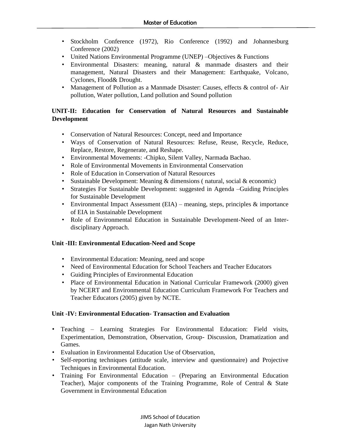- Stockholm Conference (1972), Rio Conference (1992) and Johannesburg Conference (2002)
- United Nations Environmental Programme (UNEP) –Objectives & Functions
- Environmental Disasters: meaning, natural & manmade disasters and their management, Natural Disasters and their Management: Earthquake, Volcano, Cyclones, Flood& Drought.
- Management of Pollution as a Manmade Disaster: Causes, effects & control of- Air pollution, Water pollution, Land pollution and Sound pollution

# **UNIT-II: Education for Conservation of Natural Resources and Sustainable Development**

- Conservation of Natural Resources: Concept, need and Importance
- Ways of Conservation of Natural Resources: Refuse, Reuse, Recycle, Reduce, Replace, Restore, Regenerate, and Reshape.
- Environmental Movements: -Chipko, Silent Valley, Narmada Bachao.
- Role of Environmental Movements in Environmental Conservation
- Role of Education in Conservation of Natural Resources
- Sustainable Development: Meaning & dimensions ( natural, social & economic)
- Strategies For Sustainable Development: suggested in Agenda –Guiding Principles for Sustainable Development
- Environmental Impact Assessment (EIA) meaning, steps, principles  $&$  importance of EIA in Sustainable Development
- Role of Environmental Education in Sustainable Development-Need of an Interdisciplinary Approach.

# **Unit -III: Environmental Education-Need and Scope**

- Environmental Education: Meaning, need and scope
- Need of Environmental Education for School Teachers and Teacher Educators
- Guiding Principles of Environmental Education
- Place of Environmental Education in National Curricular Framework (2000) given by NCERT and Environmental Education Curriculum Framework For Teachers and Teacher Educators (2005) given by NCTE.

### **Unit -IV: Environmental Education- Transaction and Evaluation**

- Teaching Learning Strategies For Environmental Education: Field visits, Experimentation, Demonstration, Observation, Group- Discussion, Dramatization and Games.
- Evaluation in Environmental Education Use of Observation,
- Self-reporting techniques (attitude scale, interview and questionnaire) and Projective Techniques in Environmental Education.
- Training For Environmental Education (Preparing an Environmental Education Teacher), Major components of the Training Programme, Role of Central & State Government in Environmental Education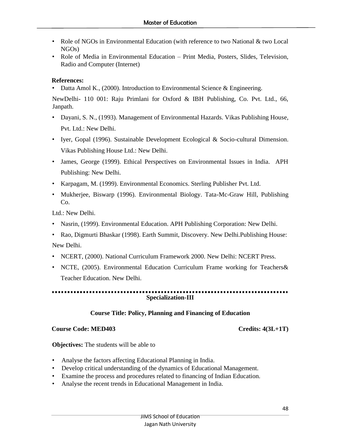- Role of NGOs in Environmental Education (with reference to two National & two Local NGOs)
- Role of Media in Environmental Education Print Media, Posters, Slides, Television, Radio and Computer (Internet)

# **References:**

• Datta Amol K., (2000). Introduction to Environmental Science & Engineering.

NewDelhi- 110 001: Raju Primlani for Oxford & IBH Publishing, Co. Pvt. Ltd., 66, Janpath.

- Dayani, S. N., (1993). Management of Environmental Hazards. Vikas Publishing House, Pvt. Ltd.: New Delhi.
- Iyer, Gopal (1996). Sustainable Development Ecological & Socio-cultural Dimension. Vikas Publishing House Ltd.: New Delhi.
- James, George (1999). Ethical Perspectives on Environmental Issues in India. APH Publishing: New Delhi.
- Karpagam, M. (1999). Environmental Economics. Sterling Publisher Pvt. Ltd.
- Mukherjee, Biswarp (1996). Environmental Biology. Tata-Mc-Graw Hill, Publishing Co.

Ltd.: New Delhi.

- Nasrin, (1999). Environmental Education. APH Publishing Corporation: New Delhi.
- Rao, Digmurti Bhaskar (1998). Earth Summit, Discovery. New Delhi.Publishing House: New Delhi.
- NCERT, (2000). National Curriculum Framework 2000. New Delhi: NCERT Press.
- NCTE, (2005). Environmental Education Curriculum Frame working for Teachers& Teacher Education. New Delhi.

**Specialization-III**

# **Course Title: Policy, Planning and Financing of Education**

# **Course Code: MED403 Credits: 4(3L+1T)**

**Objectives:** The students will be able to

- Analyse the factors affecting Educational Planning in India.
- Develop critical understanding of the dynamics of Educational Management.
- Examine the process and procedures related to financing of Indian Education.
- Analyse the recent trends in Educational Management in India.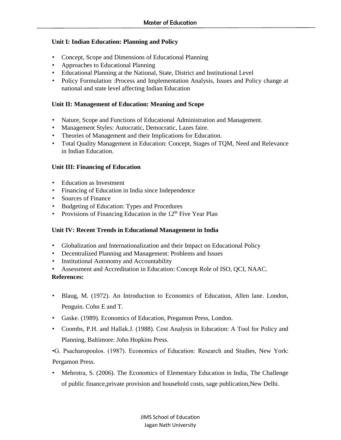# **Unit I: Indian Education: Planning and Policy**

- Concept, Scope and Dimensions of Educational Planning
- Approaches to Educational Planning
- Educational Planning at the National, State, District and Institutional Level
- Policy Formulation :Process and Implementation Analysis, Issues and Policy change at national and state level affecting Indian Education

### **Unit II: Management of Education: Meaning and Scope**

- Nature, Scope and Functions of Educational Administration and Management.
- Management Styles: Autocratic, Democratic, Lazes faire.
- Theories of Management and their Implications for Education.
- Total Quality Management in Education: Concept, Stages of TQM, Need and Relevance in Indian Education.

### **Unit III: Financing of Education**

- Education as Investment
- Financing of Education in India since Independence
- Sources of Finance
- Budgeting of Education: Types and Procedures
- Provisions of Financing Education in the  $12<sup>th</sup>$  Five Year Plan

### **Unit IV: Recent Trends in Educational Management in India**

- Globalization and Internationalization and their Impact on Educational Policy
- Decentralized Planning and Management: Problems and Issues
- Institutional Autonomy and Accountability
- Assessment and Accreditation in Education: Concept Role of ISO, QCI, NAAC.

### **References:**

- Blaug, M. (1972). An Introduction to Economics of Education, Allen lane. London, Penguin. Cohn E and T.
- Gaske. (1989). Economics of Education, Pregamon Press, London.
- Coombs, P.H. and Hallak.J. (1988). Cost Analysis in Education: A Tool for Policy and Planning, Baltimore: John Hopkins Press.

•G. Psacharopoulos. (1987). Economics of Education: Research and Studies, New York: Pergamon Press.

• Mehrotra, S. (2006). The Economics of Elementary Education in India, The Challenge of public finance,private provision and household costs, sage publication,New Delhi.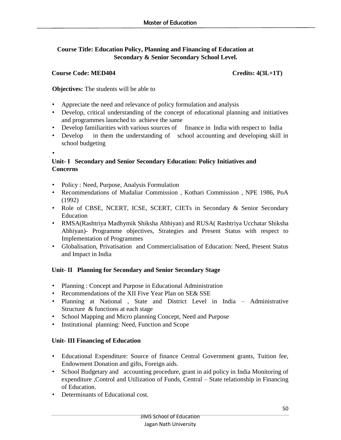# **Course Title: Education Policy, Planning and Financing of Education at Secondary & Senior Secondary School Level.**

# Course Code: MED404 Credits: 4(3L+1T)

**Objectives:** The students will be able to

- Appreciate the need and relevance of policy formulation and analysis
- Develop, critical understanding of the concept of educational planning and initiatives and programmes launched to achieve the same
- Develop familiarities with various sources of finance in India with respect to India
- Develop in them the understanding of school accounting and developing skill in school budgeting
- •

# **Unit- I Secondary and Senior Secondary Education: Policy Initiatives and Concerns**

- Policy : Need, Purpose, Analysis Formulation
- Recommendations of Mudaliar Commission , Kothari Commission , NPE 1986, PoA (1992)
- Role of CBSE, NCERT, ICSE, SCERT, CIETs in Secondary & Senior Secondary Education
- RMSA(Rashtriya Madhymik Shiksha Abhiyan) and RUSA( Rashtriya Ucchatar Shiksha Abhiyan)- Programme objectives, Strategies and Present Status with respect to Implementation of Programmes
- Globalisation, Privatisation and Commercialisation of Education: Need, Present Status and Impact in India

# **Unit- II Planning for Secondary and Senior Secondary Stage**

- Planning : Concept and Purpose in Educational Administration
- Recommendations of the XII Five Year Plan on SE& SSE
- Planning at National , State and District Level in India Administrative Structure & functions at each stage
- School Mapping and Micro planning Concept, Need and Purpose
- Institutional planning: Need, Function and Scope

# **Unit- III Financing of Education**

- Educational Expenditure: Source of finance Central Government grants, Tuition fee, Endowment Donation and gifts, Foreign aids.
- School Budgetary and accounting procedure, grant in aid policy in India Monitoring of expenditure ,Control and Utilization of Funds, Central – State relationship in Financing of Education.
- Determinants of Educational cost.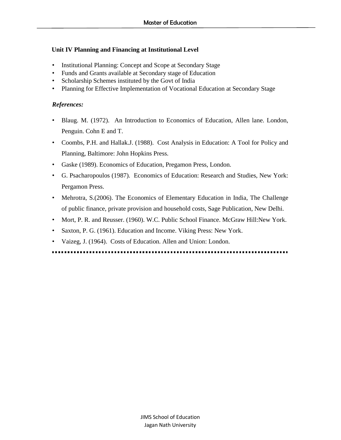# **Unit IV Planning and Financing at Institutional Level**

- Institutional Planning: Concept and Scope at Secondary Stage
- Funds and Grants available at Secondary stage of Education
- Scholarship Schemes instituted by the Govt of India
- Planning for Effective Implementation of Vocational Education at Secondary Stage

# *References:*

- Blaug. M. (1972). An Introduction to Economics of Education, Allen lane. London, Penguin. Cohn E and T.
- Coombs, P.H. and Hallak.J. (1988). Cost Analysis in Education: A Tool for Policy and Planning, Baltimore: John Hopkins Press.
- Gaske (1989). Economics of Education, Pregamon Press, London.
- G. Psacharopoulos (1987). Economics of Education: Research and Studies, New York: Pergamon Press.
- Mehrotra, S.(2006). The Economics of Elementary Education in India, The Challenge of public finance, private provision and household costs, Sage Publication, New Delhi.
- Mort, P. R. and Reusser. (1960). W.C. Public School Finance. McGraw Hill:New York.
- Saxton, P. G. (1961). Education and Income. Viking Press: New York.
- Vaizeg, J. (1964). Costs of Education. Allen and Union: London.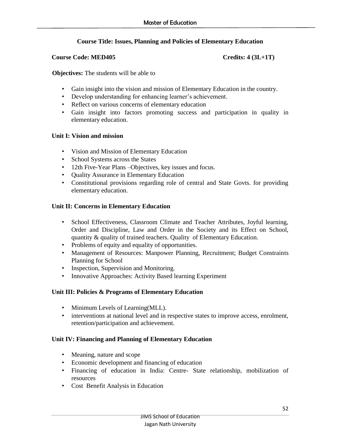# **Course Title: Issues, Planning and Policies of Elementary Education**

#### **Course Code: MED405** Credits: 4 (3L+1T)

**Objectives:** The students will be able to

- Gain insight into the vision and mission of Elementary Education in the country.
- Develop understanding for enhancing learner's achievement.
- Reflect on various concerns of elementary education
- Gain insight into factors promoting success and participation in quality in elementary education.

### **Unit I: Vision and mission**

- Vision and Mission of Elementary Education
- School Systems across the States
- 12th Five-Year Plans –Objectives, key issues and focus.
- Quality Assurance in Elementary Education
- Constitutional provisions regarding role of central and State Govts. for providing elementary education.

# **Unit II: Concerns in Elementary Education**

- School Effectiveness, Classroom Climate and Teacher Attributes, Joyful learning, Order and Discipline, Law and Order in the Society and its Effect on School, quantity & quality of trained teachers. Quality of Elementary Education.
- Problems of equity and equality of opportunities.
- Management of Resources: Manpower Planning, Recruitment; Budget Constraints Planning for School
- Inspection, Supervision and Monitoring.
- Innovative Approaches: Activity Based learning Experiment

### **Unit III: Policies & Programs of Elementary Education**

- Minimum Levels of Learning (MLL).
- interventions at national level and in respective states to improve access, enrolment, retention/participation and achievement.

### **Unit IV: Financing and Planning of Elementary Education**

- Meaning, nature and scope
- Economic development and financing of education
- Financing of education in India: Centre- State relationship, mobilization of resources
- Cost Benefit Analysis in Education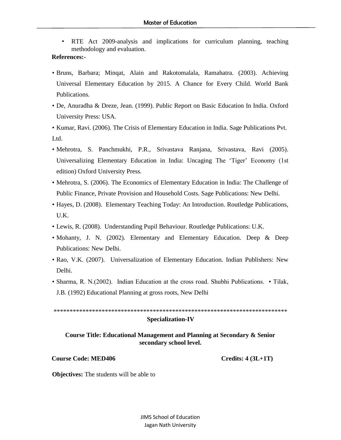RTE Act 2009-analysis and implications for curriculum planning, teaching methodology and evaluation.

#### **References:-**

- Bruns, Barbara; Minqat, Alain and Rakotomalala, Ramahatra. (2003). Achieving Universal Elementary Education by 2015. A Chance for Every Child. World Bank Publications.
- De, Anuradha & Dreze, Jean. (1999). Public Report on Basic Education In India. Oxford University Press: USA.

• Kumar, Ravi. (2006). The Crisis of Elementary Education in India. Sage Publications Pvt. Ltd.

- Mehrotra, S. Panchmukhi, P.R., Srivastava Ranjana, Srivastava, Ravi (2005). Universalizing Elementary Education in India: Uncaging The 'Tiger' Economy (1st edition) Oxford University Press.
- Mehrotra, S. (2006). The Economics of Elementary Education in India: The Challenge of Public Finance, Private Provision and Household Costs. Sage Publications: New Delhi.
- Hayes, D. (2008). Elementary Teaching Today: An Introduction. Routledge Publications, U.K.
- Lewis, R. (2008). Understanding Pupil Behaviour. Routledge Publications: U.K.
- Mohanty, J. N. (2002). Elementary and Elementary Education. Deep & Deep Publications: New Delhi.
- Rao, V.K. (2007). Universalization of Elementary Education. Indian Publishers: New Delhi.
- Sharma, R. N.(2002). Indian Education at the cross road. Shubhi Publications. Tilak, J.B. (1992) Educational Planning at gross roots, New Delhi

\*\*\*\*\*\*\*\*\*\*\*\*\*\*\*\*\*\*\*\*\*\*\*\*\*\*\*\*\*\*\*\*\*\*\*\*\*\*\*\*\*\*\*\*\*\*\*\*\*\*\*\*\*\*\*\*\*\*\*\*\*\*\*\*\*\*\*\*\*\*\*\*\* **Specialization-IV**

# **Course Title: Educational Management and Planning at Secondary & Senior secondary school level.**

#### **Course Code: MED406 Credits: 4 (3L+1T)**

**Objectives:** The students will be able to

JIMS School of Education Jagan Nath University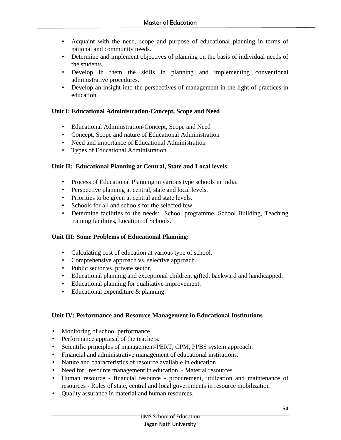- Acquaint with the need, scope and purpose of educational planning in terms of national and community needs.
- Determine and implement objectives of planning on the basis of individual needs of the students.
- Develop in them the skills in planning and implementing conventional administrative procedures.
- Develop an insight into the perspectives of management in the light of practices in education.

# **Unit I: Educational Administration-Concept, Scope and Need**

- Educational Administration-Concept, Scope and Need
- Concept, Scope and nature of Educational Administration
- Need and importance of Educational Administration
- Types of Educational Administration

# **Unit II: Educational Planning at Central, State and Local levels:**

- Process of Educational Planning in various type schools in India.
- Perspective planning at central, state and local levels.
- Priorities to be given at central and state levels.
- Schools for all and schools for the selected few
- Determine facilities to the needs: School programme, School Building, Teaching training facilities, Location of Schools.

# **Unit III: Some Problems of Educational Planning:**

- Calculating cost of education at various type of school.
- Comprehensive approach vs. selective approach.
- Public sector vs. private sector.
- Educational planning and exceptional children, gifted, backward and handicapped.
- Educational planning for qualitative improvement.
- Educational expenditure & planning.

### **Unit IV: Performance and Resource Management in Educational Institutions**

- Monitoring of school performance.
- Performance appraisal of the teachers.
- Scientific principles of management-PERT, CPM, PPBS system approach.
- Financial and administrative management of educational institutions.
- Nature and characteristics of resource available in education.
- Need for resource management in education. Material resources.
- Human resource financial resource procurement, utilization and maintenance of resources - Roles of state, central and local governments in resource mobilization
- Quality assurance in material and human resources.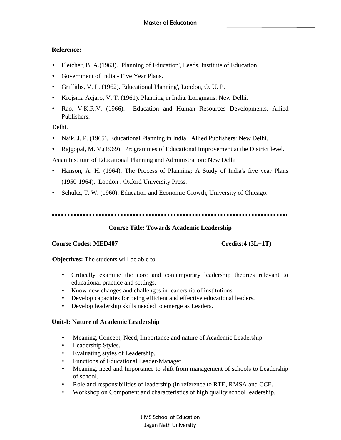### **Reference:**

- Fletcher, B. A. (1963). Planning of Education', Leeds, Institute of Education.
- Government of India Five Year Plans.
- Griffiths, V. L. (1962). Educational Planning', London, O. U. P.
- Krojsma Acjaro, V. T. (1961). Planning in India. Longmans: New Delhi.
- Rao, V.K.R.V. (1966). Education and Human Resources Developments, Allied Publishers:

Delhi.

- Naik, J. P. (1965). Educational Planning in India. Allied Publishers: New Delhi.
- Rajgopal, M. V. (1969). Programmes of Educational Improvement at the District level.

Asian Institute of Educational Planning and Administration: New Delhi

- Hanson, A. H. (1964). The Process of Planning: A Study of India's five year Plans (1950-1964). London : Oxford University Press.
- Schultz, T. W. (1960). Education and Economic Growth, University of Chicago.

### ..............................

# **Course Title: Towards Academic Leadership**

### **Course Codes: MED407 Credits:4 (3L+1T)**

**Objectives:** The students will be able to

- Critically examine the core and contemporary leadership theories relevant to educational practice and settings.
- Know new changes and challenges in leadership of institutions.
- Develop capacities for being efficient and effective educational leaders.
- Develop leadership skills needed to emerge as Leaders.

# **Unit-I: Nature of Academic Leadership**

- Meaning, Concept, Need, Importance and nature of Academic Leadership.
- Leadership Styles.
- Evaluating styles of Leadership.
- Functions of Educational Leader/Manager.
- Meaning, need and Importance to shift from management of schools to Leadership of school.
- Role and responsibilities of leadership (in reference to RTE, RMSA and CCE.
- Workshop on Component and characteristics of high quality school leadership.

JIMS School of Education Jagan Nath University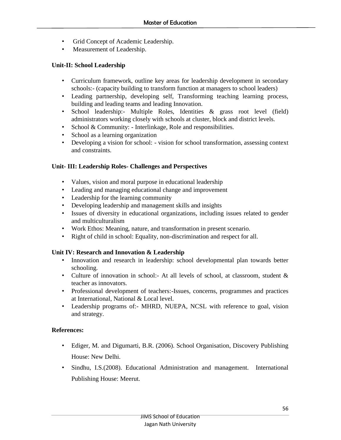- Grid Concept of Academic Leadership.
- Measurement of Leadership.

# **Unit-II: School Leadership**

- Curriculum framework, outline key areas for leadership development in secondary schools:- (capacity building to transform function at managers to school leaders)
- Leading partnership, developing self, Transforming teaching learning process, building and leading teams and leading Innovation.
- School leadership:- Multiple Roles, Identities & grass root level (field) administrators working closely with schools at cluster, block and district levels.
- School & Community: Interlinkage, Role and responsibilities.
- School as a learning organization
- Developing a vision for school: vision for school transformation, assessing context and constraints.

### **Unit- III: Leadership Roles- Challenges and Perspectives**

- Values, vision and moral purpose in educational leadership
- Leading and managing educational change and improvement
- Leadership for the learning community
- Developing leadership and management skills and insights
- Issues of diversity in educational organizations, including issues related to gender and multiculturalism
- Work Ethos: Meaning, nature, and transformation in present scenario.
- Right of child in school: Equality, non-discrimination and respect for all.

### **Unit IV: Research and Innovation & Leadership**

- Innovation and research in leadership: school developmental plan towards better schooling.
- Culture of innovation in school:- At all levels of school, at classroom, student & teacher as innovators.
- Professional development of teachers:-Issues, concerns, programmes and practices at International, National & Local level.
- Leadership programs of:- MHRD, NUEPA, NCSL with reference to goal, vision and strategy.

### **References:**

- Ediger, M. and Digumarti, B.R. (2006). School Organisation, Discovery Publishing House: New Delhi.
- Sindhu, I.S.(2008). Educational Administration and management. International Publishing House: Meerut.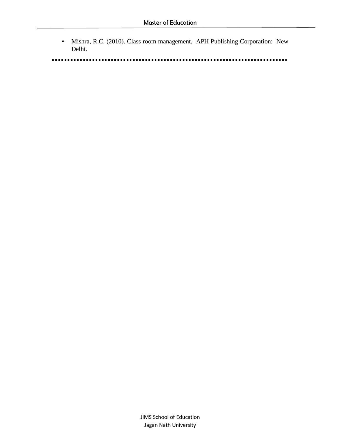• Mishra, R.C. (2010). Class room management. APH Publishing Corporation: New Delhi.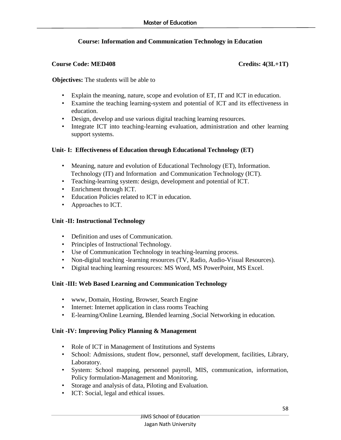# **Course: Information and Communication Technology in Education**

# **Course Code: MED408** Credits: 4(3L+1T)

**Objectives:** The students will be able to

- Explain the meaning, nature, scope and evolution of ET, IT and ICT in education.
- Examine the teaching learning-system and potential of ICT and its effectiveness in education.
- Design, develop and use various digital teaching learning resources.
- Integrate ICT into teaching-learning evaluation, administration and other learning support systems.

# **Unit- I: Effectiveness of Education through Educational Technology (ET)**

- Meaning, nature and evolution of Educational Technology (ET), Information. Technology (IT) and Information and Communication Technology (ICT).
- Teaching-learning system: design, development and potential of ICT.
- Enrichment through ICT.
- Education Policies related to ICT in education.
- Approaches to ICT.

# **Unit -II: Instructional Technology**

- Definition and uses of Communication.
- Principles of Instructional Technology.
- Use of Communication Technology in teaching-learning process.
- Non-digital teaching -learning resources (TV, Radio, Audio-Visual Resources).
- Digital teaching learning resources: MS Word, MS PowerPoint, MS Excel.

# **Unit -III: Web Based Learning and Communication Technology**

- www, Domain, Hosting, Browser, Search Engine
- Internet: Internet application in class rooms Teaching
- E-learning/Online Learning, Blended learning ,Social Networking in education.

# **Unit -IV: Improving Policy Planning & Management**

- Role of ICT in Management of Institutions and Systems
- School: Admissions, student flow, personnel, staff development, facilities, Library, Laboratory.
- System: School mapping, personnel payroll, MIS, communication, information, Policy formulation-Management and Monitoring.
- Storage and analysis of data, Piloting and Evaluation.
- ICT: Social, legal and ethical issues.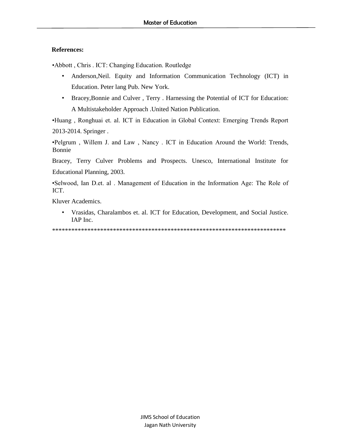### **References:**

•Abbott , Chris . ICT: Changing Education. Routledge

- Anderson,Neil. Equity and Information Communication Technology (ICT) in Education. Peter lang Pub. New York.
- Bracey,Bonnie and Culver , Terry . Harnessing the Potential of ICT for Education: A Multistakeholder Approach .United Nation Publication.

•Huang , Ronghuai et. al. ICT in Education in Global Context: Emerging Trends Report 2013-2014. Springer .

•Pelgrum , Willem J. and Law , Nancy . ICT in Education Around the World: Trends, Bonnie

Bracey, Terry Culver Problems and Prospects. Unesco, International Institute for Educational Planning, 2003.

•Selwood, Ian D.et. al . Management of Education in the Information Age: The Role of ICT.

Kluver Academics.

• Vrasidas, Charalambos et. al. ICT for Education, Development, and Social Justice. IAP Inc.

\*\*\*\*\*\*\*\*\*\*\*\*\*\*\*\*\*\*\*\*\*\*\*\*\*\*\*\*\*\*\*\*\*\*\*\*\*\*\*\*\*\*\*\*\*\*\*\*\*\*\*\*\*\*\*\*\*\*\*\*\*\*\*\*\*\*\*\*\*\*\*\*\*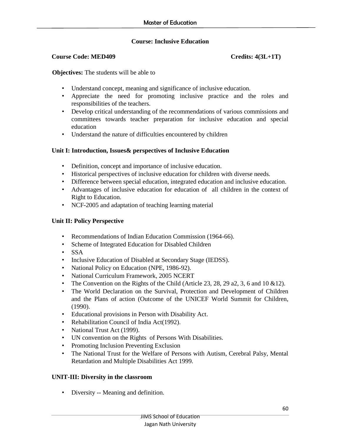# **Course: Inclusive Education**

### **Course Code: MED409 Credits: 4(3L+1T)**

**Objectives:** The students will be able to

- Understand concept, meaning and significance of inclusive education.
- Appreciate the need for promoting inclusive practice and the roles and responsibilities of the teachers.
- Develop critical understanding of the recommendations of various commissions and committees towards teacher preparation for inclusive education and special education
- Understand the nature of difficulties encountered by children

# **Unit I: Introduction, Issues& perspectives of Inclusive Education**

- Definition, concept and importance of inclusive education.
- Historical perspectives of inclusive education for children with diverse needs.
- Difference between special education, integrated education and inclusive education.
- Advantages of inclusive education for education of all children in the context of Right to Education.
- NCF-2005 and adaptation of teaching learning material

# **Unit II: Policy Perspective**

- Recommendations of Indian Education Commission (1964-66).
- Scheme of Integrated Education for Disabled Children
- SSA
- Inclusive Education of Disabled at Secondary Stage (IEDSS).
- National Policy on Education (NPE, 1986-92).
- National Curriculum Framework, 2005 NCERT
- The Convention on the Rights of the Child (Article 23, 28, 29 a2, 3, 6 and 10  $&12$ ).
- The World Declaration on the Survival, Protection and Development of Children and the Plans of action (Outcome of the UNICEF World Summit for Children, (1990).
- Educational provisions in Person with Disability Act.
- Rehabilitation Council of India Act(1992).
- National Trust Act (1999).
- UN convention on the Rights of Persons With Disabilities.
- Promoting Inclusion Preventing Exclusion
- The National Trust for the Welfare of Persons with Autism, Cerebral Palsy, Mental Retardation and Multiple Disabilities Act 1999.

### **UNIT-III: Diversity in the classroom**

• Diversity -- Meaning and definition.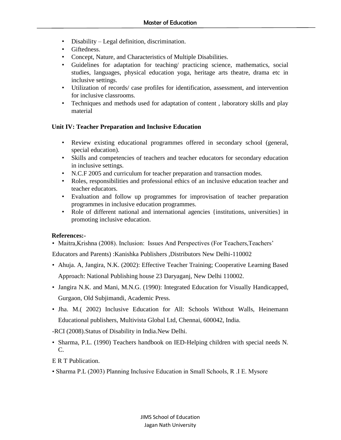- Disability Legal definition, discrimination.
- Giftedness.
- Concept, Nature, and Characteristics of Multiple Disabilities.
- Guidelines for adaptation for teaching/ practicing science, mathematics, social studies, languages, physical education yoga, heritage arts theatre, drama etc in inclusive settings.
- Utilization of records/ case profiles for identification, assessment, and intervention for inclusive classrooms.
- Techniques and methods used for adaptation of content , laboratory skills and play material

# **Unit IV: Teacher Preparation and Inclusive Education**

- Review existing educational programmes offered in secondary school (general, special education).
- Skills and competencies of teachers and teacher educators for secondary education in inclusive settings.
- N.C.F 2005 and curriculum for teacher preparation and transaction modes.
- Roles, responsibilities and professional ethics of an inclusive education teacher and teacher educators.
- Evaluation and follow up programmes for improvisation of teacher preparation programmes in inclusive education programmes.
- Role of different national and international agencies {institutions, universities} in promoting inclusive education.

### **References:-**

• Maitra, Krishna (2008). Inclusion: Issues And Perspectives (For Teachers, Teachers'

Educators and Parents) :Kanishka Publishers ,Distributors New Delhi-110002

- Ahuja. A, Jangira, N.K. (2002): Effective Teacher Training; Cooperative Learning Based Approach: National Publishing house 23 Daryaganj, New Delhi 110002.
- Jangira N.K. and Mani, M.N.G. (1990): Integrated Education for Visually Handicapped, Gurgaon, Old Subjimandi, Academic Press.
- Jha. M.( 2002) Inclusive Education for All: Schools Without Walls, Heinemann Educational publishers, Multivista Global Ltd, Chennai, 600042, India.

-RCI (2008).Status of Disability in India.New Delhi.

• Sharma, P.L. (1990) Teachers handbook on IED-Helping children with special needs N. C.

E R T Publication.

• Sharma P.L (2003) Planning Inclusive Education in Small Schools, R .I E. Mysore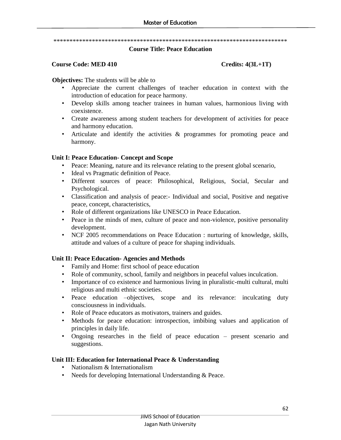\*\*\*\*\*\*\*\*\*\*\*\*\*\*\*\*\*\*\*\*\*\*\*\*\*\*\*\*\*\*\*\*\*\*\*\*\*\*\*\*\*\*\*\*\*\*\*\*\*\*\*\*\*\*\*\*\*\*\*\*\*\*\*\*\*\*\*\*\*\*\*\*\*

#### **Course Title: Peace Education**

#### **Course Code: MED 410 Credits: 4(3L+1T)**

**Objectives:** The students will be able to

- Appreciate the current challenges of teacher education in context with the introduction of education for peace harmony.
- Develop skills among teacher trainees in human values, harmonious living with coexistence.
- Create awareness among student teachers for development of activities for peace and harmony education.
- Articulate and identify the activities & programmes for promoting peace and harmony.

### **Unit I: Peace Education- Concept and Scope**

- Peace: Meaning, nature and its relevance relating to the present global scenario,
- Ideal vs Pragmatic definition of Peace.
- Different sources of peace: Philosophical, Religious, Social, Secular and Psychological.
- Classification and analysis of peace:- Individual and social, Positive and negative peace, concept, characteristics,
- Role of different organizations like UNESCO in Peace Education.
- Peace in the minds of men, culture of peace and non-violence, positive personality development.
- NCF 2005 recommendations on Peace Education : nurturing of knowledge, skills, attitude and values of a culture of peace for shaping individuals.

### **Unit II: Peace Education- Agencies and Methods**

- Family and Home: first school of peace education
- Role of community, school, family and neighbors in peaceful values inculcation.
- Importance of co existence and harmonious living in pluralistic-multi cultural, multi religious and multi ethnic societies.
- Peace education –objectives, scope and its relevance: inculcating duty consciousness in individuals.
- Role of Peace educators as motivators, trainers and guides.
- Methods for peace education: introspection, imbibing values and application of principles in daily life.
- Ongoing researches in the field of peace education present scenario and suggestions.

### **Unit III: Education for International Peace & Understanding**

- Nationalism & Internationalism
- Needs for developing International Understanding & Peace.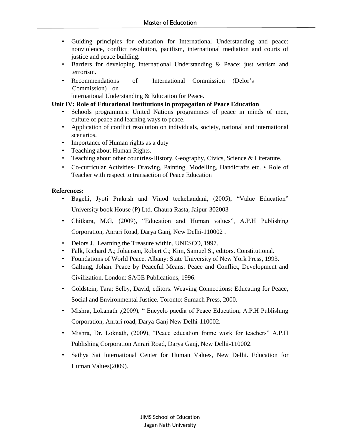- Guiding principles for education for International Understanding and peace: nonviolence, conflict resolution, pacifism, international mediation and courts of justice and peace building.
- Barriers for developing International Understanding & Peace: just warism and terrorism.
- Recommendations of International Commission (Delor's Commission) on

International Understanding & Education for Peace.

# **Unit IV: Role of Educational Institutions in propagation of Peace Education**

- Schools programmes: United Nations programmes of peace in minds of men, culture of peace and learning ways to peace.
- Application of conflict resolution on individuals, society, national and international scenarios.
- Importance of Human rights as a duty
- Teaching about Human Rights.
- Teaching about other countries-History, Geography, Civics, Science & Literature.
- Co-curricular Activities- Drawing, Painting, Modelling, Handicrafts etc. Role of Teacher with respect to transaction of Peace Education

# **References:**

- Bagchi, Jyoti Prakash and Vinod teckchandani, (2005), "Value Education" University book House (P) Ltd. Chaura Rasta, Jaipur-302003
- Chitkara, M.G, (2009), "Education and Human values", A.P.H Publishing Corporation, Anrari Road, Darya Ganj, New Delhi-110002 .
- Delors J., Learning the Treasure within, UNESCO, 1997.
- Falk, Richard A.; Johansen, Robert C.; Kim, Samuel S., editors. Constitutional.
- Foundations of World Peace. Albany: State University of New York Press, 1993.
- Galtung, Johan. Peace by Peaceful Means: Peace and Conflict, Development and Civilization. London: SAGE Publications, 1996.
- Goldstein, Tara; Selby, David, editors. Weaving Connections: Educating for Peace, Social and Environmental Justice. Toronto: Sumach Press, 2000.
- Mishra, Lokanath ,(2009), " Encyclo paedia of Peace Education, A.P.H Publishing Corporation, Anrari road, Darya Ganj New Delhi-110002.
- Mishra, Dr. Loknath, (2009), "Peace education frame work for teachers" A.P.H Publishing Corporation Anrari Road, Darya Ganj, New Delhi-110002.
- Sathya Sai International Center for Human Values, New Delhi. Education for Human Values(2009).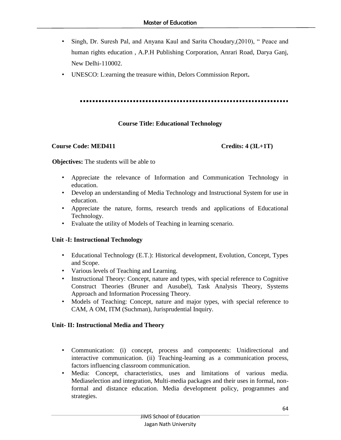- Singh, Dr. Suresh Pal, and Anyana Kaul and Sarita Choudary,(2010), " Peace and human rights education , A.P.H Publishing Corporation, Anrari Road, Darya Ganj, New Delhi-110002.
- UNESCO: L:earning the treasure within, Delors Commission Report**.**

### **Course Title: Educational Technology**

#### **Course Code: MED411 Credits: 4 (3L+1T)**

#### **Objectives:** The students will be able to

- Appreciate the relevance of Information and Communication Technology in education.
- Develop an understanding of Media Technology and Instructional System for use in education.
- Appreciate the nature, forms, research trends and applications of Educational Technology.
- Evaluate the utility of Models of Teaching in learning scenario.

### **Unit -I: Instructional Technology**

- Educational Technology (E.T.): Historical development, Evolution, Concept, Types and Scope.
- Various levels of Teaching and Learning.
- Instructional Theory: Concept, nature and types, with special reference to Cognitive Construct Theories (Bruner and Ausubel), Task Analysis Theory, Systems Approach and Information Processing Theory.
- Models of Teaching: Concept, nature and major types, with special reference to CAM, A OM, ITM (Suchman), Jurisprudential Inquiry.

### **Unit- II: Instructional Media and Theory**

- Communication: (i) concept, process and components: Unidirectional and interactive communication. (ii) Teaching-learning as a communication process, factors influencing classroom communication.
- Media: Concept, characteristics, uses and limitations of various media. Mediaselection and integration, Multi-media packages and their uses in formal, nonformal and distance education. Media development policy, programmes and strategies.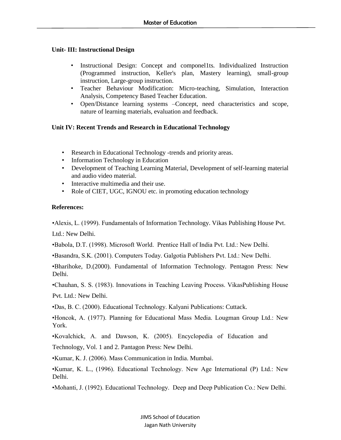# **Unit- III: Instructional Design**

- Instructional Design: Concept and componel1ts. Individualized Instruction (Programmed instruction, Keller's plan, Mastery learning), small-group instruction, Large-group instruction.
- Teacher Behaviour Modification: Micro-teaching, Simulation, Interaction Analysis, Competency Based Teacher Education.
- Open/Distance learning systems –Concept, need characteristics and scope, nature of learning materials, evaluation and feedback.

# **Unit IV: Recent Trends and Research in Educational Technology**

- Research in Educational Technology -trends and priority areas.
- Information Technology in Education
- Development of Teaching Learning Material, Development of self-learning material and audio video material.
- Interactive multimedia and their use.
- Role of CIET, UGC, IGNOU etc. in promoting education technology

# **References:**

•Alexis, L. (1999). Fundamentals of Information Technology. Vikas Publishing House Pvt.

Ltd.: New Delhi.

•Babola, D.T. (1998). Microsoft World. Prentice Hall of India Pvt. Ltd.: New Delhi.

•Basandra, S.K. (2001). Computers Today. Galgotia Publishers Pvt. Ltd.: New Delhi.

•Bharihoke, D.(2000). Fundamental of Information Technology. Pentagon Press: New Delhi.

•Chauhan, S. S. (1983). Innovations in Teaching Leaving Process. VikasPublishing House

Pvt. Ltd.: New Delhi.

•Das, B. C. (2000). Educational Technology. Kalyani Publications: Cuttack.

•Honcok, A. (1977). Planning for Educational Mass Media. Lougman Group Ltd.: New York.

•Kovalchick, A. and Dawson, K. (2005). Encyclopedia of Education and

Technology, Vol. 1 and 2. Pantagon Press: New Delhi.

•Kumar, K. J. (2006). Mass Communication in India. Mumbai.

•Kumar, K. L., (1996). Educational Technology. New Age International (P) Ltd.: New Delhi.

•Mohanti, J. (1992). Educational Technology. Deep and Deep Publication Co.: New Delhi.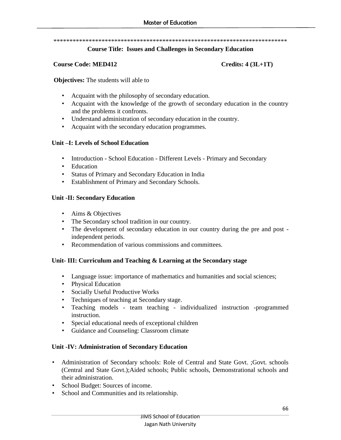#### \*\*\*\*\*\*\*\*\*\*\*\*\*\*\*\*\*\*\*\*\*\*\*\*\*\*\*\*\*\*\*\*\*\*\*\*\*\*\*\*\*\*\*\*\*\*\*\*\*\*\*\*\*\*\*\*\*\*\*\*\*\*\*\*\*\*\*\*\*\*\*\*\*

#### **Course Title: Issues and Challenges in Secondary Education**

#### **Course Code: MED412 Credits: 4 (3L+1T)**

**Objectives:** The students will able to

- Acquaint with the philosophy of secondary education.
- Acquaint with the knowledge of the growth of secondary education in the country and the problems it confronts.
- Understand administration of secondary education in the country.
- Acquaint with the secondary education programmes.

### **Unit –I: Levels of School Education**

- Introduction School Education Different Levels Primary and Secondary
- Education
- Status of Primary and Secondary Education in India
- Establishment of Primary and Secondary Schools.

# **Unit -II: Secondary Education**

- Aims & Objectives
- The Secondary school tradition in our country.
- The development of secondary education in our country during the pre and post independent periods.
- Recommendation of various commissions and committees.

# **Unit- III: Curriculum and Teaching & Learning at the Secondary stage**

- Language issue: importance of mathematics and humanities and social sciences;
- Physical Education
- Socially Useful Productive Works
- Techniques of teaching at Secondary stage.
- Teaching models team teaching individualized instruction -programmed instruction.
- Special educational needs of exceptional children
- Guidance and Counseling: Classroom climate

# **Unit -IV: Administration of Secondary Education**

- Administration of Secondary schools: Role of Central and State Govt. ;Govt. schools (Central and State Govt.);Aided schools; Public schools, Demonstrational schools and their administration.
- School Budget: Sources of income.
- School and Communities and its relationship.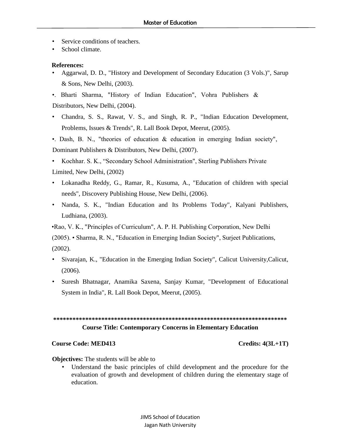- Service conditions of teachers.
- School climate.

#### **References:**

• Aggarwal, D. D., "History and Development of Secondary Education (3 Vols.)", Sarup & Sons, New Delhi, (2003).

•. Bharti Sharma, "History of Indian Education", Vohra Publishers & Distributors, New Delhi, (2004).

• Chandra, S. S., Rawat, V. S., and Singh, R. P., "Indian Education Development, Problems, Issues & Trends", R. Lall Book Depot, Meerut, (2005).

•. Dash, B. N., "theories of education & education in emerging Indian society", Dominant Publishers & Distributors, New Delhi, (2007).

- Kochhar. S. K., "Secondary School Administration", Sterling Publishers Private Limited, New Delhi, (2002)
- Lokanadha Reddy, G., Ramar, R., Kusuma, A., "Education of children with special needs", Discovery Publishing House, New Delhi, (2006).
- Nanda, S. K., "Indian Education and Its Problems Today", Kalyani Publishers, Ludhiana, (2003).

•Rao, V. K., "Principles of Curriculum", A. P. H. Publishing Corporation, New Delhi (2005). • Sharma, R. N., "Education in Emerging Indian Society", Surjeet Publications, (2002).

- Sivarajan, K., "Education in the Emerging Indian Society", Calicut University,Calicut, (2006).
- Suresh Bhatnagar, Anamika Saxena, Sanjay Kumar, "Development of Educational System in India", R. Lall Book Depot, Meerut, (2005).

```
*************************************************************************
Course Title: Contemporary Concerns in Elementary Education
```
#### **Course Code: MED413** Credits: 4(3L+1T)

**Objectives:** The students will be able to

Understand the basic principles of child development and the procedure for the evaluation of growth and development of children during the elementary stage of education.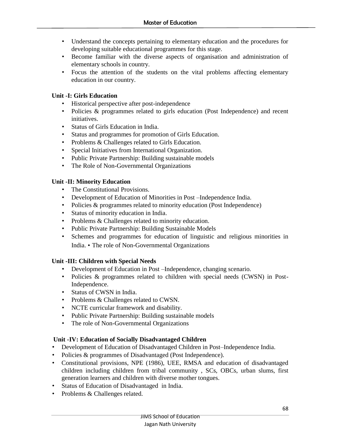- Understand the concepts pertaining to elementary education and the procedures for developing suitable educational programmes for this stage.
- Become familiar with the diverse aspects of organisation and administration of elementary schools in country.
- Focus the attention of the students on the vital problems affecting elementary education in our country.

# **Unit -I: Girls Education**

- Historical perspective after post-independence
- Policies & programmes related to girls education (Post Independence) and recent initiatives.
- Status of Girls Education in India.
- Status and programmes for promotion of Girls Education.
- Problems & Challenges related to Girls Education.
- Special Initiatives from International Organization.
- Public Private Partnership: Building sustainable models
- The Role of Non-Governmental Organizations

# **Unit -II: Minority Education**

- The Constitutional Provisions.
- Development of Education of Minorities in Post –Independence India.
- Policies & programmes related to minority education (Post Independence)
- Status of minority education in India.
- Problems & Challenges related to minority education.
- Public Private Partnership: Building Sustainable Models
- Schemes and programmes for education of linguistic and religious minorities in India. • The role of Non-Governmental Organizations

# **Unit -III: Children with Special Needs**

- Development of Education in Post –Independence, changing scenario.
- Policies & programmes related to children with special needs (CWSN) in Post-Independence.
- Status of CWSN in India.
- Problems & Challenges related to CWSN.
- NCTE curricular framework and disability.
- Public Private Partnership: Building sustainable models
- The role of Non-Governmental Organizations

# **Unit -IV: Education of Socially Disadvantaged Children**

- Development of Education of Disadvantaged Children in Post–Independence India.
- Policies & programmes of Disadvantaged (Post Independence).
- Constitutional provisions, NPE (1986), UEE, RMSA and education of disadvantaged children including children from tribal community , SCs, OBCs, urban slums, first generation learners and children with diverse mother tongues.
- Status of Education of Disadvantaged in India.
- Problems & Challenges related.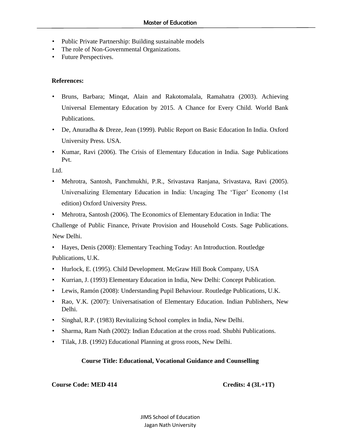- Public Private Partnership: Building sustainable models
- The role of Non-Governmental Organizations.
- Future Perspectives.

#### **References:**

- Bruns, Barbara; Minqat, Alain and Rakotomalala, Ramahatra (2003). Achieving Universal Elementary Education by 2015. A Chance for Every Child. World Bank Publications.
- De, Anuradha & Dreze, Jean (1999). Public Report on Basic Education In India. Oxford University Press. USA.
- Kumar, Ravi (2006). The Crisis of Elementary Education in India. Sage Publications Pvt.

Ltd.

- Mehrotra, Santosh, Panchmukhi, P.R., Srivastava Ranjana, Srivastava, Ravi (2005). Universalizing Elementary Education in India: Uncaging The 'Tiger' Economy (1st edition) Oxford University Press.
- Mehrotra, Santosh (2006). The Economics of Elementary Education in India: The Challenge of Public Finance, Private Provision and Household Costs. Sage Publications. New Delhi.
- Hayes, Denis (2008): Elementary Teaching Today: An Introduction. Routledge Publications, U.K.
- Hurlock, E. (1995). Child Development. McGraw Hill Book Company, USA
- Kurrian, J. (1993) Elementary Education in India, New Delhi: Concept Publication.
- Lewis, Ramón (2008): Understanding Pupil Behaviour. Routledge Publications, U.K.
- Rao, V.K. (2007): Universatisation of Elementary Education. Indian Publishers, New Delhi.
- Singhal, R.P. (1983) Revitalizing School complex in India, New Delhi.
- Sharma, Ram Nath (2002): Indian Education at the cross road. Shubhi Publications.
- Tilak, J.B. (1992) Educational Planning at gross roots, New Delhi.

### **Course Title: Educational, Vocational Guidance and Counselling**

### **Course Code: MED 414 Credits: 4 (3L+1T)**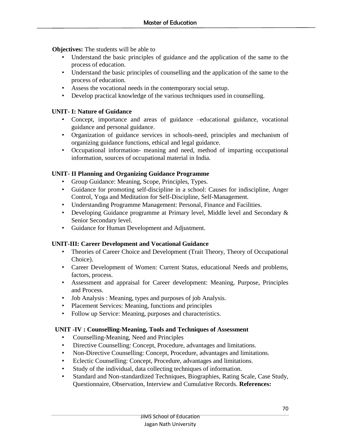**Objectives:** The students will be able to

- Understand the basic principles of guidance and the application of the same to the process of education.
- Understand the basic principles of counselling and the application of the same to the process of education.
- Assess the vocational needs in the contemporary social setup.
- Develop practical knowledge of the various techniques used in counselling.

# **UNIT- I: Nature of Guidance**

- Concept, importance and areas of guidance –educational guidance, vocational guidance and personal guidance.
- Organization of guidance services in schools-need, principles and mechanism of organizing guidance functions, ethical and legal guidance.
- Occupational information- meaning and need, method of imparting occupational information, sources of occupational material in India.

# **UNIT- II Planning and Organizing Guidance Programme**

- Group Guidance: Meaning, Scope, Principles, Types.
- Guidance for promoting self-discipline in a school: Causes for indiscipline, Anger Control, Yoga and Meditation for Self-Discipline, Self-Management.
- Understanding Programme Management: Personal, Finance and Facilities.
- Developing Guidance programme at Primary level, Middle level and Secondary & Senior Secondary level.
- Guidance for Human Development and Adjustment.

### **UNIT-III: Career Development and Vocational Guidance**

- Theories of Career Choice and Development (Trait Theory, Theory of Occupational Choice).
- Career Development of Women: Current Status, educational Needs and problems, factors, process.
- Assessment and appraisal for Career development: Meaning, Purpose, Principles and Process.
- Job Analysis : Meaning, types and purposes of job Analysis.
- Placement Services: Meaning, functions and principles
- Follow up Service: Meaning, purposes and characteristics.

### **UNIT -IV : Counselling-Meaning, Tools and Techniques of Assessment**

- Counselling-Meaning, Need and Principles
- Directive Counselling: Concept, Procedure, advantages and limitations.
- Non-Directive Counselling: Concept, Procedure, advantages and limitations.
- Eclectic Counselling: Concept, Procedure, advantages and limitations.
- Study of the individual, data collecting techniques of information.
- Standard and Non-standardized Techniques, Biographies, Rating Scale, Case Study, Questionnaire, Observation, Interview and Cumulative Records. **References:**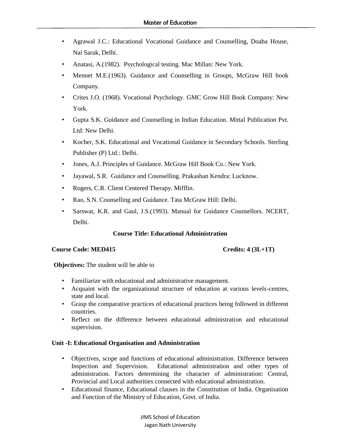- Agrawal J.C.: Educational Vocational Guidance and Counselling, Doaba House, Nai Sarak, Delhi.
- Anatasi, A.(1982). Psychological testing. Mac Millan: New York.
- Mennet M.E.(1963). Guidance and Counselling in Groups, McGraw Hill book Company.
- Crites J.O. (1968). Vocational Psychology. GMC Grow Hill Book Company: New York.
- Gupta S.K. Guidance and Counselling in Indian Education. Mittal Publication Pvt. Ltd: New Delhi.
- Kocher, S.K. Educational and Vocational Guidance in Secondary Schools. Sterling Publisher (P) Ltd.: Delhi.
- Jones, A.J. Principles of Guidance. McGraw Hill Book Co.: New York.
- Jayawal, S.R. Guidance and Counselling. Prakashan Kendra: Lucknow.
- Rogers, C.R. Client Centered Therapy. Mifflin.
- Rao, S.N. Counselling and Guidance. Tata McGraw Hill: Delhi.
- Sarswat, K.R. and Gaul, J.S.(1993). Manual for Guidance Counsellors. NCERT, Delhi.

### **Course Title: Educational Administration**

#### **Course Code: MED415 Credits: 4 (3L+1T)**

**Objectives:** The student will be able to

- Familiarize with educational and administrative management.
- Acquaint with the organizational structure of education at various levels-centres, state and local.
- Grasp the comparative practices of educational practices being followed in different countries.
- Reflect on the difference between educational administration and educational supervision.

### **Unit -I: Educational Organisation and Administration**

- Objectives, scope and functions of educational administration. Difference between Inspection and Supervision. Educational administration and other types of administration. Factors determining the character of administration: Central, Provincial and Local authorities connected with educational administration.
- Educational finance, Educational clauses in the Constitution of India. Organisation and Function of the Ministry of Education, Govt. of India.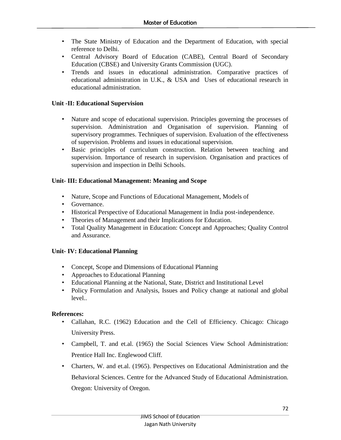- The State Ministry of Education and the Department of Education, with special reference to Delhi.
- Central Advisory Board of Education (CABE), Central Board of Secondary Education (CBSE) and University Grants Commission (UGC).
- Trends and issues in educational administration. Comparative practices of educational administration in U.K., & USA and Uses of educational research in educational administration.

# **Unit -II: Educational Supervision**

- Nature and scope of educational supervision. Principles governing the processes of supervision. Administration and Organisation of supervision. Planning of supervisory programmes. Techniques of supervision. Evaluation of the effectiveness of supervision. Problems and issues in educational supervision.
- Basic principles of curriculum construction. Relation between teaching and supervision. Importance of research in supervision. Organisation and practices of supervision and inspection in Delhi Schools.

# **Unit- III: Educational Management: Meaning and Scope**

- Nature, Scope and Functions of Educational Management, Models of
- Governance.
- Historical Perspective of Educational Management in India post-independence.
- Theories of Management and their Implications for Education.
- Total Quality Management in Education: Concept and Approaches; Quality Control and Assurance.

# **Unit- IV: Educational Planning**

- Concept, Scope and Dimensions of Educational Planning
- Approaches to Educational Planning
- Educational Planning at the National, State, District and Institutional Level
- Policy Formulation and Analysis, Issues and Policy change at national and global level..

# **References:**

- Callahan, R.C. (1962) Education and the Cell of Efficiency. Chicago: Chicago University Press.
- Campbell, T. and et.al. (1965) the Social Sciences View School Administration: Prentice Hall Inc. Englewood Cliff.
- Charters, W. and et.al. (1965). Perspectives on Educational Administration and the Behavioral Sciences. Centre for the Advanced Study of Educational Administration. Oregon: University of Oregon.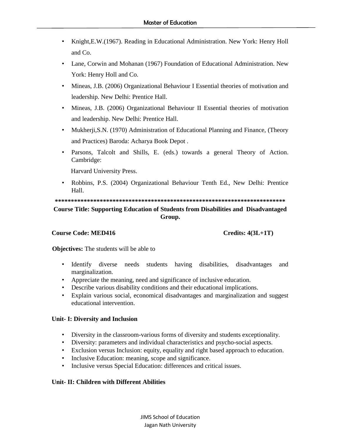- Knight,E.W.(1967). Reading in Educational Administration. New York: Henry Holl and Co.
- Lane, Corwin and Mohanan (1967) Foundation of Educational Administration. New York: Henry Holl and Co.
- Mineas, J.B. (2006) Organizational Behaviour I Essential theories of motivation and leadership. New Delhi: Prentice Hall.
- Mineas, J.B. (2006) Organizational Behaviour II Essential theories of motivation and leadership. New Delhi: Prentice Hall.
- Mukherji,S.N. (1970) Administration of Educational Planning and Finance, (Theory and Practices) Baroda: Acharya Book Depot .
- Parsons, Talcolt and Shills, E. (eds.) towards a general Theory of Action. Cambridge:

Harvard University Press.

• Robbins, P.S. (2004) Organizational Behaviour Tenth Ed., New Delhi: Prentice Hall.

# **\*\*\*\*\*\*\*\*\*\*\*\*\*\*\*\*\*\*\*\*\*\*\*\*\*\*\*\*\*\*\*\*\*\*\*\*\*\*\*\*\*\*\*\*\*\*\*\*\*\*\*\*\*\*\*\*\*\*\*\*\*\*\*\*\*\*\*\*\*\*\*\* Course Title: Supporting Education of Students from Disabilities and Disadvantaged Group.**

#### **Course Code: MED416** Course Code: MED416

**Objectives:** The students will be able to

- Identify diverse needs students having disabilities, disadvantages and marginalization.
- Appreciate the meaning, need and significance of inclusive education.
- Describe various disability conditions and their educational implications.
- Explain various social, economical disadvantages and marginalization and suggest educational intervention.

#### **Unit- I: Diversity and Inclusion**

- Diversity in the classroom-various forms of diversity and students exceptionality.
- Diversity: parameters and individual characteristics and psycho-social aspects.
- Exclusion versus Inclusion: equity, equality and right based approach to education.
- Inclusive Education: meaning, scope and significance.
- Inclusive versus Special Education: differences and critical issues.

### **Unit- II: Children with Different Abilities**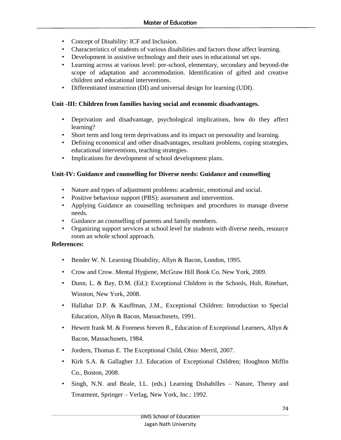- Concept of Disability: ICF and Inclusion.
- Characteristics of students of various disabilities and factors those affect learning.
- Development in assistive technology and their uses in educational set ups.
- Learning across at various level: pre-school, elementary, secondary and beyond-the scope of adaptation and accommodation. Identification of gifted and creative children and educational interventions.
- Differentiated instruction (DI) and universal design for learning (UDI).

#### **Unit -III: Children from families having social and economic disadvantages.**

- Deprivation and disadvantage, psychological implications, how do they affect learning?
- Short term and long term deprivations and its impact on personality and learning.
- Defining economical and other disadvantages, resultant problems, coping strategies, educational interventions, teaching strategies.
- Implications for development of school development plans.

#### **Unit-IV: Guidance and counselling for Diverse needs: Guidance and counselling**

- Nature and types of adjustment problems: academic, emotional and social.
- Positive behaviour support (PBS): assessment and intervention.
- Applying Guidance an counselling techniques and procedures to manage diverse needs.
- Guidance an counselling of parents and family members.
- Organizing support services at school level for students with diverse needs, resource room an whole school approach.

- Bender W. N. Learning Disability, Allyn & Bacon, London, 1995.
- Crow and Crow. Mental Hygiene, McGraw Hill Book Co. New York, 2009.
- Dunn, L. & Bay, D.M. (Ed.): Exceptional Children in the Schools, Holt, Rinehart, Winston, New York, 2008.
- Hallahar D.P. & Kauffman, J.M., Exceptional Children: Introduction to Special Education, Allyn & Bacon, Massachusets, 1991.
- Hewett frank M. & Foreness Sreven R., Education of Exceptional Learners, Allyn & Bacon, Massachusets, 1984.
- Jordern, Thomas E. The Exceptional Child, Ohio: Merril, 2007.
- Kirk S.A. & Gallagher J.J. Education of Exceptional Children; Houghton Miffin Co., Boston, 2008.
- Singh, N.N. and Beale, I.L. (eds.) Learning Dishabilles Nature, Theory and Treatment, Springer – Verlag, New York, Inc.: 1992.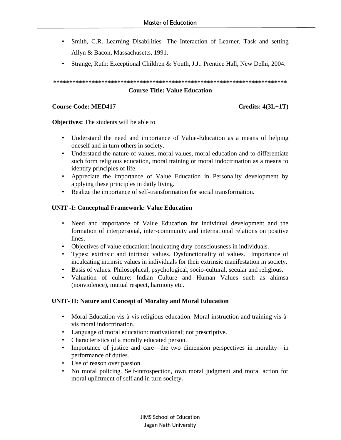- Smith, C.R. Learning Disabilities- The Interaction of Learner, Task and setting Allyn & Bacon, Massachusetts, 1991.
- Strange, Ruth: Exceptional Children & Youth, J.J.: Prentice Hall, New Delhi, 2004.

# **\*\*\*\*\*\*\*\*\*\*\*\*\*\*\*\*\*\*\*\*\*\*\*\*\*\*\*\*\*\*\*\*\*\*\*\*\*\*\*\*\*\*\*\*\*\*\*\*\*\*\*\*\*\*\*\*\*\*\*\*\*\*\*\*\*\*\*\*\*\*\*\*\* Course Title: Value Education**

#### **Course Code: MED417** Credits: 4(3L+1T)

**Objectives:** The students will be able to

- Understand the need and importance of Value-Education as a means of helping oneself and in turn others in society.
- Understand the nature of values, moral values, moral education and to differentiate such form religious education, moral training or moral indoctrination as a means to identify principles of life.
- Appreciate the importance of Value Education in Personality development by applying these principles in daily living.
- Realize the importance of self-transformation for social transformation.

#### **UNIT -I: Conceptual Framework: Value Education**

- Need and importance of Value Education for individual development and the formation of interpersonal, inter-community and international relations on positive lines.
- Objectives of value education: inculcating duty-consciousness in individuals.
- Types: extrinsic and intrinsic values. Dysfunctionality of values. Importance of inculcating intrinsic values in individuals for their extrinsic manifestation in society.
- Basis of values: Philosophical, psychological, socio-cultural, secular and religious.
- Valuation of culture: Indian Culture and Human Values such as ahimsa (nonviolence), mutual respect, harmony etc.

#### **UNIT- II: Nature and Concept of Morality and Moral Education**

- Moral Education vis-à-vis religious education. Moral instruction and training vis-àvis moral indoctrination.
- Language of moral education: motivational; not prescriptive.
- Characteristics of a morally educated person.
- Importance of justice and care—the two dimension perspectives in morality—in performance of duties.
- Use of reason over passion.
- No moral policing. Self-introspection, own moral judgment and moral action for moral upliftment of self and in turn society**.**

JIMS School of Education Jagan Nath University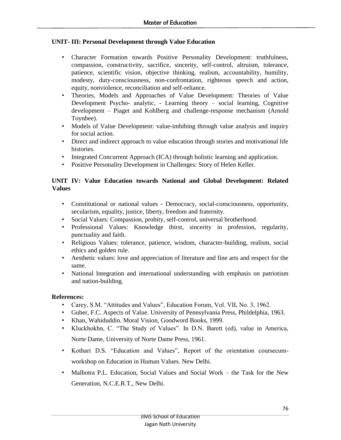### **UNIT- III: Personal Development through Value Education**

- Character Formation towards Positive Personality Development: truthfulness, compassion, constructivity, sacrifice, sincerity, self-control, altruism, tolerance, patience, scientific vision, objective thinking, realism, accountability, humility, modesty, duty-consciousness, non-confrontation, righteous speech and action, equity, nonviolence, reconciliation and self-reliance.
- Theories, Models and Approaches of Value Development: Theories of Value Development Psycho- analytic, - Learning theory – social learning, Cognitive development – Piaget and Kohlberg and challenge-response mechanism (Arnold Toynbee).
- Models of Value Development: value-imbibing through value analysis and inquiry for social action.
- Direct and indirect approach to value education through stories and motivational life histories.
- Integrated Concurrent Approach (ICA) through holistic learning and application.
- Positive Personality Development in Challenges: Story of Helen Keller.

#### **UNIT IV: Value Education towards National and Global Development: Related Values**

- Constitutional or national values Democracy, social-consciousness, opportunity, secularism, equality, justice, liberty, freedom and fraternity.
- Social Values: Compassion, probity, self-control, universal brotherhood.
- Professional Values: Knowledge thirst, sincerity in profession, regularity, punctuality and faith.
- Religious Values: tolerance, patience, wisdom, character-building, realism, social ethics and golden rule.
- Aesthetic values: love and appreciation of literature and fine arts and respect for the same.
- National Integration and international understanding with emphasis on patriotism and nation-building.

- Carey, S.M. "Attitudes and Values", Education Forum, Vol. VII, No. 3, 1962.
- Guber, F.C. Aspects of Value. University of Pennsylvania Press, Phildelphia, 1963.
- Khan, Wahiduddin. Moral Vision, Goodword Books, 1999.
- Kluckhokhn, C. "The Study of Values". In D.N. Barett (ed), value in America, Norte Dame, University of Norte Dame Press, 1961.
- Kothari D.S. "Education and Values", Report of the orientation coursecumworkshop on Education in Human Values. New Delhi.
- Malhotra P.L. Education, Social Values and Social Work the Task for the New Generation, N.C.E.R.T., New Delhi.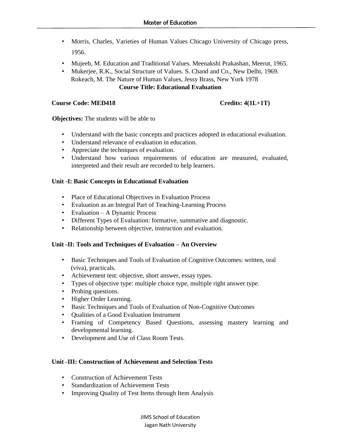- Morris, Charles, Varieties of Human Values Chicago University of Chicago press, 1956.
- Mujeeb, M. Education and Traditional Values. Meenakshi Prakashan, Meerut, 1965.
- Mukerjee, R.K., Social Structure of Values. S. Chand and Co., New Delhi, 1969. Rokeach, M. The Nature of Human Values, Jessy Brass, New York 1978 **Course Title: Educational Evaluation**

#### **Course Code: MED418** Credits: 4(1L+1T)

#### **Objectives:** The students will be able to

- Understand with the basic concepts and practices adopted in educational evaluation.
- Understand relevance of evaluation in education.
- Appreciate the techniques of evaluation.
- Understand how various requirements of education are measured, evaluated, interpreted and their result are recorded to help learners.

#### **Unit -I: Basic Concepts in Educational Evaluation**

- Place of Educational Objectives in Evaluation Process
- Evaluation as an Integral Part of Teaching-Learning Process
- Evaluation A Dynamic Process
- Different Types of Evaluation: formative, summative and diagnostic.
- Relationship between objective, instruction and evaluation.

#### **Unit -II: Tools and Techniques of Evaluation – An Overview**

- Basic Techniques and Tools of Evaluation of Cognitive Outcomes: written, oral (viva), practicals.
- Achievement test: objective, short answer, essay types.
- Types of objective type: multiple choice type, multiple right answer type.
- Probing questions.
- Higher Order Learning.
- Basic Techniques and Tools of Evaluation of Non-Cognitive Outcomes
- Qualities of a Good Evaluation Instrument
- Framing of Competency Based Questions, assessing mastery learning and developmental learning.
- Development and Use of Class Room Tests.

#### **Unit -III: Construction of Achievement and Selection Tests**

- Construction of Achievement Tests
- Standardization of Achievement Tests
- Improving Quality of Test Items through Item Analysis

JIMS School of Education Jagan Nath University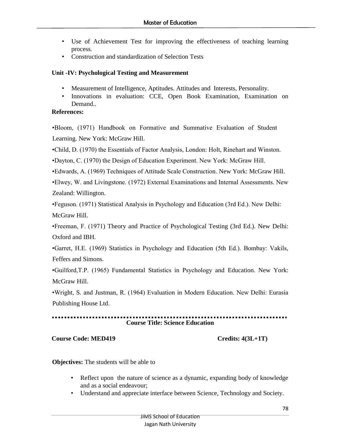- Use of Achievement Test for improving the effectiveness of teaching learning process.
- Construction and standardization of Selection Tests

#### **Unit -IV: Psychological Testing and Measurement**

- Measurement of Intelligence, Aptitudes. Attitudes and Interests, Personality.
- Innovations in evaluation: CCE, Open Book Examination, Examination on Demand..

#### **References:**

•Bloom, (1971) Handbook on Formative and Summative Evaluation of Student Learning. New York: McGraw Hill.

•Child, D. (1970) the Essentials of Factor Analysis, London: Holt, Rinehart and Winston.

•Dayton, C. (1970) the Design of Education Experiment. New York: McGraw Hill.

•Edwards, A. (1969) Techniques of Attitude Scale Construction. New York: McGraw Hill.

•Elwey, W. and Livingstone. (1972) External Examinations and Internal Assessments. New Zealand: Willington.

•Feguson. (1971) Statistical Analysis in Psychology and Education (3rd Ed.). New Delhi: McGraw Hill.

•Freeman, F. (1971) Theory and Practice of Psychological Testing (3rd Ed.). New Delhi: Oxford and IBH.

•Garret, H.E. (1969) Statistics in Psychology and Education (5th Ed.). Bombay: Vakils, Feffers and Simons.

•Guilford,T.P. (1965) Fundamental Statistics in Psychology and Education. New York: McGraw Hill.

•Wright, S. and Justman, R. (1964) Evaluation in Modern Education. New Delhi: Eurasia Publishing House Ltd.

# **Course Title: Science Education**

### **Course Code: MED419** Credits: 4(3L+1T)

**Objectives:** The students will be able to

- Reflect upon the nature of science as a dynamic, expanding body of knowledge and as a social endeavour;
- Understand and appreciate interface between Science, Technology and Society.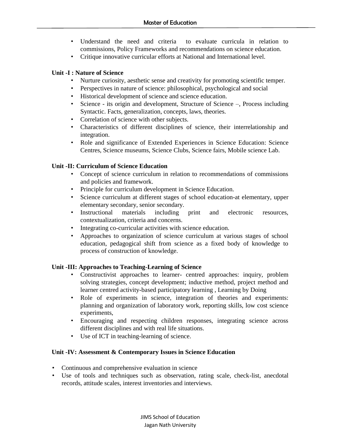- Understand the need and criteria to evaluate curricula in relation to commissions, Policy Frameworks and recommendations on science education.
- Critique innovative curricular efforts at National and International level.

#### **Unit -I : Nature of Science**

- Nurture curiosity, aesthetic sense and creativity for promoting scientific temper.
- Perspectives in nature of science: philosophical, psychological and social
- Historical development of science and science education.
- Science its origin and development, Structure of Science –, Process including Syntactic. Facts, generalization, concepts, laws, theories.
- Correlation of science with other subjects.
- Characteristics of different disciplines of science, their interrelationship and integration.
- Role and significance of Extended Experiences in Science Education: Science Centres, Science museums, Science Clubs, Science fairs, Mobile science Lab.

#### **Unit -II: Curriculum of Science Education**

- Concept of science curriculum in relation to recommendations of commissions and policies and framework.
- Principle for curriculum development in Science Education.
- Science curriculum at different stages of school education-at elementary, upper elementary secondary, senior secondary.
- Instructional materials including print and electronic resources, contextualization, criteria and concerns.
- Integrating co-curricular activities with science education.
- Approaches to organization of science curriculum at various stages of school education, pedagogical shift from science as a fixed body of knowledge to process of construction of knowledge.

#### **Unit -III: Approaches to Teaching-Learning of Science**

- Constructivist approaches to learner- centred approaches: inquiry, problem solving strategies, concept development; inductive method, project method and learner centred activity-based participatory learning , Learning by Doing
- Role of experiments in science, integration of theories and experiments: planning and organization of laboratory work, reporting skills, low cost science experiments,
- Encouraging and respecting children responses, integrating science across different disciplines and with real life situations.
- Use of ICT in teaching-learning of science.

#### **Unit -IV: Assessment & Contemporary Issues in Science Education**

- Continuous and comprehensive evaluation in science
- Use of tools and techniques such as observation, rating scale, check-list, anecdotal records, attitude scales, interest inventories and interviews.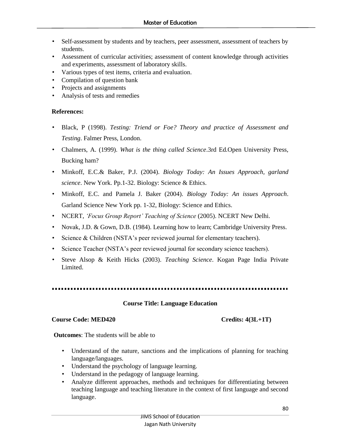- Self-assessment by students and by teachers, peer assessment, assessment of teachers by students.
- Assessment of curricular activities; assessment of content knowledge through activities and experiments, assessment of laboratory skills.
- Various types of test items, criteria and evaluation.
- Compilation of question bank
- Projects and assignments
- Analysis of tests and remedies

# **References:**

- Black, P (1998). *Testing: Triend or Foe? Theory and practice of Assessment and Testing*. Falmer Press, London.
- Chalmers, A. (1999). *What is the thing called Science*.3rd Ed.Open University Press, Bucking ham?
- Minkoff, E.C.& Baker, P.J. (2004). *Biology Today: An Issues Approach, garland science*. New York. Pp.1-32. Biology: Science & Ethics.
- Minkoff, E.C. and Pamela J. Baker (2004). *Biology Today: An issues Approach*. Garland Science New York pp. 1-32, Biology: Science and Ethics.
- NCERT, *'Focus Group Report' Teaching of Science* (2005). NCERT New Delhi.
- Novak, J.D. & Gown, D.B. (1984). Learning how to learn; Cambridge University Press.
- Science & Children (NSTA's peer reviewed journal for elementary teachers).
- Science Teacher (NSTA's peer reviewed journal for secondary science teachers).
- Steve Alsop & Keith Hicks (2003). *Teaching Science*. Kogan Page India Private Limited.

# **Course Title: Language Education**

### **Course Code: MED420 Credits: 4(3L+1T)**

**Outcomes**: The students will be able to

- Understand of the nature, sanctions and the implications of planning for teaching language/languages.
- Understand the psychology of language learning.
- Understand in the pedagogy of language learning.
- Analyze different approaches, methods and techniques for differentiating between teaching language and teaching literature in the context of first language and second language.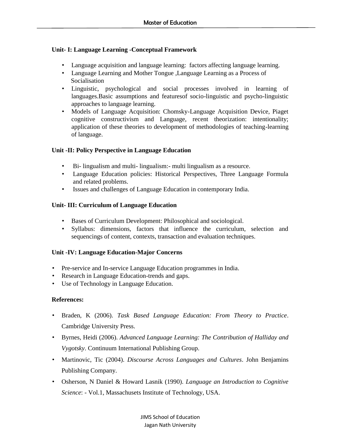### **Unit- I: Language Learning -Conceptual Framework**

- Language acquisition and language learning: factors affecting language learning.
- Language Learning and Mother Tongue ,Language Learning as a Process of Socialisation
- Linguistic, psychological and social processes involved in learning of languages.Basic assumptions and featuresof socio-linguistic and psycho-linguistic approaches to language learning.
- Models of Language Acquisition: Chomsky-Language Acquisition Device, Piaget cognitive constructivism and Language, recent theorization: intentionality; application of these theories to development of methodologies of teaching-learning of language.

#### **Unit -II: Policy Perspective in Language Education**

- Bi- lingualism and multi- lingualism:- multi lingualism as a resource.
- Language Education policies: Historical Perspectives, Three Language Formula and related problems.
- Issues and challenges of Language Education in contemporary India.

#### **Unit- III: Curriculum of Language Education**

- Bases of Curriculum Development: Philosophical and sociological.
- Syllabus: dimensions, factors that influence the curriculum, selection and sequencings of content, contexts, transaction and evaluation techniques.

### **Unit -IV: Language Education-Major Concerns**

- Pre-service and In-service Language Education programmes in India.
- Research in Language Education-trends and gaps.
- Use of Technology in Language Education.

- Braden, K (2006). *Task Based Language Education: From Theory to Practice*. Cambridge University Press.
- Byrnes, Heidi (2006). *Advanced Language Learning: The Contribution of Halliday and Vygotsky*. Continuum International Publishing Group.
- Martinovic, Tic (2004). *Discourse Across Languages and Cultures*. John Benjamins Publishing Company.
- Osherson, N Daniel & Howard Lasnik (1990). *Language an Introduction to Cognitive Science*: - Vol.1, Massachusets Institute of Technology, USA.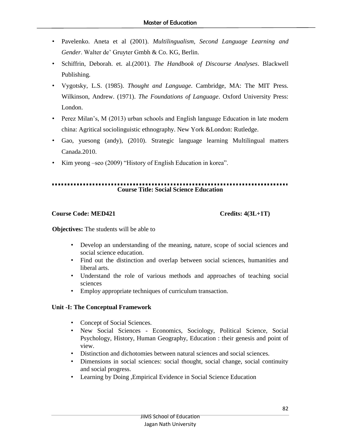- Pavelenko. Aneta et al (2001). *Multilingualism, Second Language Learning and Gender*. Walter de' Gruyter Gmbh & Co. KG, Berlin.
- Schiffrin, Deborah. et. al.(2001). *The Handbook of Discourse Analyses*. Blackwell Publishing.
- Vygotsky, L.S. (1985). *Thought and Language*. Cambridge, MA: The MIT Press. Wilkinson, Andrew. (1971). *The Foundations of Language*. Oxford University Press: London.
- Perez Milan's, M (2013) urban schools and English language Education in late modern china: Agritical sociolinguistic ethnography. New York &London: Rutledge.
- Gao, yuesong (andy), (2010). Strategic language learning Multilingual matters Canada.2010.
- Kim yeong –seo (2009) "History of English Education in korea".

# **Course Title: Social Science Education**

# **Course Code: MED421** Credits: 4(3L+1T)

**Objectives:** The students will be able to

- Develop an understanding of the meaning, nature, scope of social sciences and social science education.
- Find out the distinction and overlap between social sciences, humanities and liberal arts.
- Understand the role of various methods and approaches of teaching social sciences
- Employ appropriate techniques of curriculum transaction.

### **Unit -I: The Conceptual Framework**

- Concept of Social Sciences.
- New Social Sciences Economics, Sociology, Political Science, Social Psychology, History, Human Geography, Education : their genesis and point of view.
- Distinction and dichotomies between natural sciences and social sciences.
- Dimensions in social sciences: social thought, social change, social continuity and social progress.
- Learning by Doing , Empirical Evidence in Social Science Education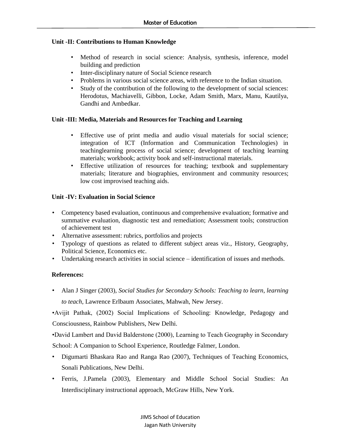#### **Unit -II: Contributions to Human Knowledge**

- Method of research in social science: Analysis, synthesis, inference, model building and prediction
- Inter-disciplinary nature of Social Science research
- Problems in various social science areas, with reference to the Indian situation.
- Study of the contribution of the following to the development of social sciences: Herodotus, Machiavelli, Gibbon, Locke, Adam Smith, Marx, Manu, Kautilya, Gandhi and Ambedkar.

#### **Unit -III: Media, Materials and Resources for Teaching and Learning**

- Effective use of print media and audio visual materials for social science; integration of ICT (Information and Communication Technologies) in teachinglearning process of social science; development of teaching learning materials; workbook; activity book and self-instructional materials.
- Effective utilization of resources for teaching; textbook and supplementary materials; literature and biographies, environment and community resources; low cost improvised teaching aids.

#### **Unit -IV: Evaluation in Social Science**

- Competency based evaluation, continuous and comprehensive evaluation; formative and summative evaluation, diagnostic test and remediation; Assessment tools; construction of achievement test
- Alternative assessment: rubrics, portfolios and projects
- Typology of questions as related to different subject areas viz., History, Geography, Political Science, Economics etc.
- Undertaking research activities in social science identification of issues and methods.

### **References:**

• Alan J Singer (2003), *Social Studies for Secondary Schools: Teaching to learn, learning to teach*, Lawrence Erlbaum Associates, Mahwah, New Jersey.

•Avijit Pathak, (2002) Social Implications of Schooling: Knowledge, Pedagogy and Consciousness, Rainbow Publishers, New Delhi.

•David Lambert and David Balderstone (2000), Learning to Teach Geography in Secondary School: A Companion to School Experience, Routledge Falmer, London.

- Digumarti Bhaskara Rao and Ranga Rao (2007), Techniques of Teaching Economics, Sonali Publications, New Delhi.
- Ferris, J.Pamela (2003), Elementary and Middle School Social Studies: An Interdisciplinary instructional approach, McGraw Hills, New York.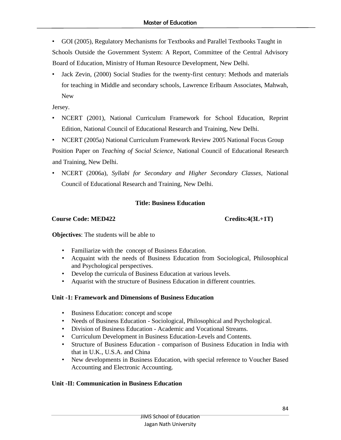- GOI (2005), Regulatory Mechanisms for Textbooks and Parallel Textbooks Taught in Schools Outside the Government System: A Report, Committee of the Central Advisory Board of Education, Ministry of Human Resource Development, New Delhi.
- Jack Zevin, (2000) Social Studies for the twenty-first century: Methods and materials for teaching in Middle and secondary schools, Lawrence Erlbaum Associates, Mahwah, New

Jersey.

- NCERT (2001), National Curriculum Framework for School Education, Reprint Edition, National Council of Educational Research and Training, New Delhi.
- NCERT (2005a) National Curriculum Framework Review 2005 National Focus Group Position Paper on *Teaching of Social Science*, National Council of Educational Research and Training, New Delhi.
- NCERT (2006a), *Syllabi for Secondary and Higher Secondary Classes*, National Council of Educational Research and Training, New Delhi.

# **Title: Business Education**

# **Course Code: MED422** Credits:4(3L+1T)

**Objectives**: The students will be able to

- Familiarize with the concept of Business Education.
- Acquaint with the needs of Business Education from Sociological, Philosophical and Psychological perspectives.
- Develop the curricula of Business Education at various levels.
- Aquarist with the structure of Business Education in different countries.

### **Unit -1: Framework and Dimensions of Business Education**

- Business Education: concept and scope
- Needs of Business Education Sociological, Philosophical and Psychological.
- Division of Business Education Academic and Vocational Streams.
- Curriculum Development in Business Education-Levels and Contents.
- Structure of Business Education comparison of Business Education in India with that in U.K., U.S.A. and China
- New developments in Business Education, with special reference to Voucher Based Accounting and Electronic Accounting.

# **Unit -II: Communication in Business Education**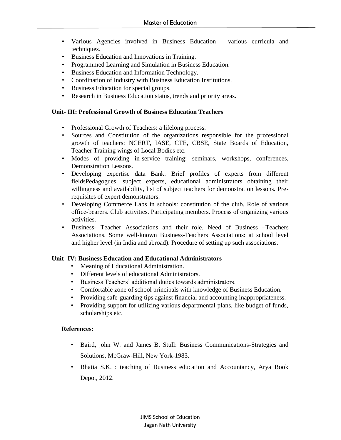- Various Agencies involved in Business Education various curricula and techniques.
- Business Education and Innovations in Training.
- Programmed Learning and Simulation in Business Education.
- Business Education and Information Technology.
- Coordination of Industry with Business Education Institutions.
- Business Education for special groups.
- Research in Business Education status, trends and priority areas.

#### **Unit- III: Professional Growth of Business Education Teachers**

- Professional Growth of Teachers: a lifelong process.
- Sources and Constitution of the organizations responsible for the professional growth of teachers: NCERT, IASE, CTE, CBSE, State Boards of Education, Teacher Training wings of Local Bodies etc.
- Modes of providing in-service training: seminars, workshops, conferences, Demonstration Lessons.
- Developing expertise data Bank: Brief profiles of experts from different fieldsPedagogues, subject experts, educational administrators obtaining their willingness and availability, list of subject teachers for demonstration lessons. Prerequisites of expert demonstrators.
- Developing Commerce Labs in schools: constitution of the club. Role of various office-bearers. Club activities. Participating members. Process of organizing various activities.
- Business- Teacher Associations and their role. Need of Business –Teachers Associations. Some well-known Business-Teachers Associations: at school level and higher level (in India and abroad). Procedure of setting up such associations.

#### **Unit- IV: Business Education and Educational Administrators**

- Meaning of Educational Administration.
- Different levels of educational Administrators.
- Business Teachers' additional duties towards administrators.
- Comfortable zone of school principals with knowledge of Business Education.
- Providing safe-guarding tips against financial and accounting inappropriateness.
- Providing support for utilizing various departmental plans, like budget of funds, scholarships etc.

- Baird, john W. and James B. Stull: Business Communications-Strategies and Solutions, McGraw-Hill, New York-1983.
- Bhatia S.K. : teaching of Business education and Accountancy, Arya Book Depot, 2012.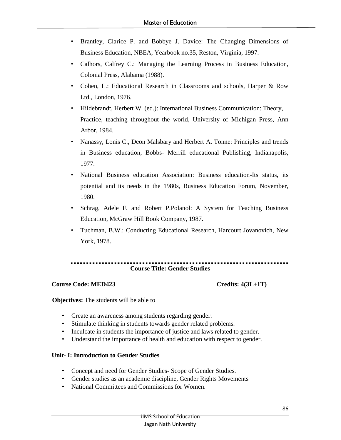- Brantley, Clarice P. and Bobbye J. Davice: The Changing Dimensions of Business Education, NBEA, Yearbook no.35, Reston, Virginia, 1997.
- Calhors, Calfrey C.: Managing the Learning Process in Business Education, Colonial Press, Alabama (1988).
- Cohen, L.: Educational Research in Classrooms and schools, Harper & Row Ltd., London, 1976.
- Hildebrandt, Herbert W. (ed.): International Business Communication: Theory, Practice, teaching throughout the world, University of Michigan Press, Ann Arbor, 1984.
- Nanassy, Lonis C., Deon Malsbary and Herbert A. Tonne: Principles and trends in Business education, Bobbs- Merrill educational Publishing, Indianapolis, 1977.
- National Business education Association: Business education-Its status, its potential and its needs in the 1980s, Business Education Forum, November, 1980.
- Schrag, Adele F. and Robert P.Polanol: A System for Teaching Business Education, McGraw Hill Book Company, 1987.
- Tuchman, B.W.: Conducting Educational Research, Harcourt Jovanovich, New York, 1978.

**Course Title: Gender Studies**

### **Course Code: MED423 Credits: 4(3L+1T)**

**Objectives:** The students will be able to

- Create an awareness among students regarding gender.
- Stimulate thinking in students towards gender related problems.
- Inculcate in students the importance of justice and laws related to gender.
- Understand the importance of health and education with respect to gender.

#### **Unit- I: Introduction to Gender Studies**

- Concept and need for Gender Studies- Scope of Gender Studies.
- Gender studies as an academic discipline, Gender Rights Movements
- National Committees and Commissions for Women.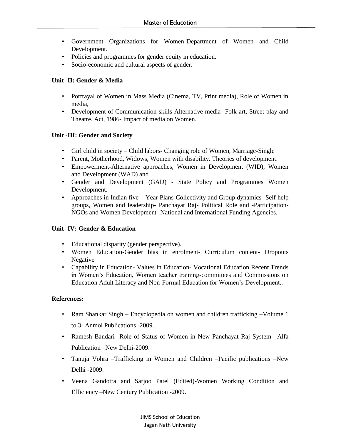- Government Organizations for Women-Department of Women and Child Development.
- Policies and programmes for gender equity in education.
- Socio-economic and cultural aspects of gender.

# **Unit -II: Gender & Media**

- Portrayal of Women in Mass Media (Cinema, TV, Print media), Role of Women in media,
- Development of Communication skills Alternative media- Folk art, Street play and Theatre, Act, 1986- Impact of media on Women.

# **Unit -III: Gender and Society**

- Girl child in society Child labors- Changing role of Women, Marriage-Single
- Parent, Motherhood, Widows, Women with disability. Theories of development.
- Empowerment-Alternative approaches, Women in Development (WID), Women and Development (WAD) and
- Gender and Development (GAD) State Policy and Programmes Women Development.
- Approaches in Indian five Year Plans-Collectivity and Group dynamics- Self help groups, Women and leadership- Panchayat Raj- Political Role and -Participation-NGOs and Women Development- National and International Funding Agencies.

# **Unit- IV: Gender & Education**

- Educational disparity (gender perspective).
- Women Education-Gender bias in enrolment- Curriculum content- Dropouts Negative
- Capability in Education- Values in Education- Vocational Education Recent Trends in Women's Education, Women teacher training-committees and Commissions on Education Adult Literacy and Non-Formal Education for Women's Development..

- Ram Shankar Singh Encyclopedia on women and children trafficking –Volume 1 to 3- Anmol Publications -2009.
- Ramesh Bandari- Role of Status of Women in New Panchayat Raj System –Alfa Publication –New Delhi-2009.
- Tanuja Vohra –Trafficking in Women and Children –Pacific publications –New Delhi -2009.
- Veena Gandotra and Sarjoo Patel (Edited)-Women Working Condition and Efficiency –New Century Publication -2009.